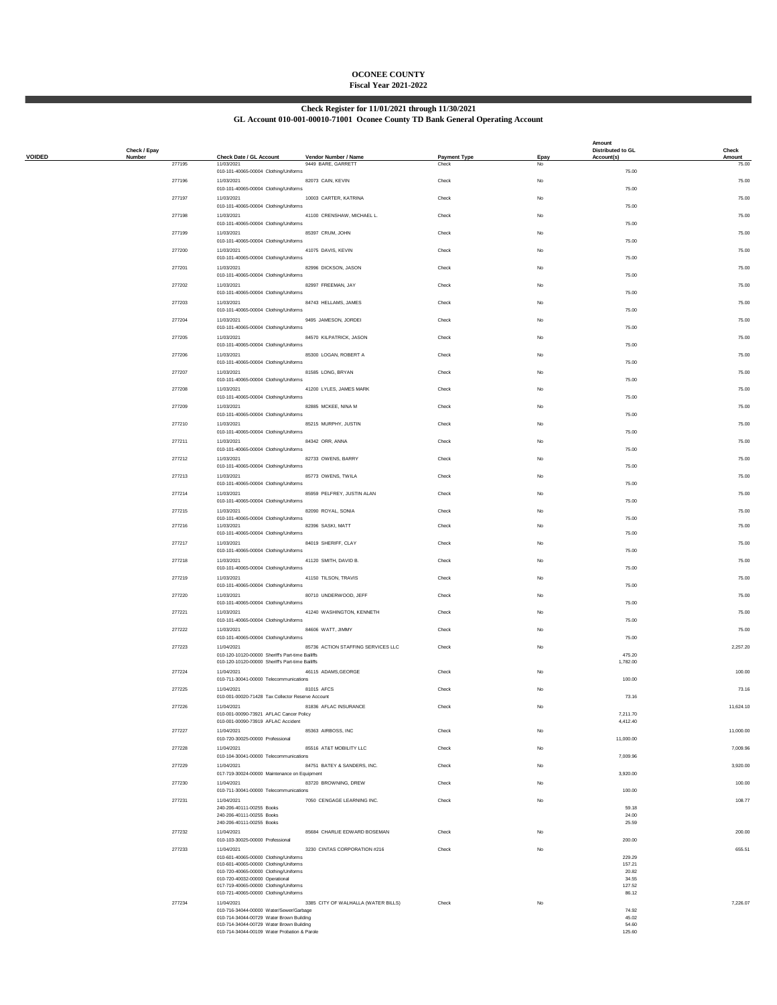## **OCONEE COUNTY Fiscal Year 2021-2022**

### **Check Register for 11/01/2021 through 11/30/2021 GL Account 010-001-00010-71001 Oconee County TD Bank General Operating Account**

|               | Check / Epay |        |                                                                                                      |                                            |                              |            | Amount<br>Distributed to GL | Check           |
|---------------|--------------|--------|------------------------------------------------------------------------------------------------------|--------------------------------------------|------------------------------|------------|-----------------------------|-----------------|
| <b>VOIDED</b> | Number       | 277195 | Check Date / GL Account<br>11/03/2021                                                                | Vendor Number / Name<br>9449 BARE, GARRETT | <b>Payment Type</b><br>Check | Epay<br>No | Account(s)                  | Amount<br>75.00 |
|               |              | 277196 | 010-101-40065-00004 Clothing/Uniforms<br>11/03/2021                                                  | 82073 CAIN, KEVIN                          | Check                        | No         | 75.00                       | 75.00           |
|               |              |        | 010-101-40065-00004 Clothing/Uniforms                                                                |                                            |                              |            | 75.00                       |                 |
|               |              | 277197 | 11/03/2021<br>010-101-40065-00004 Clothing/Uniforms                                                  | 10003 CARTER, KATRINA                      | Check                        | No         | 75.00                       | 75.00           |
|               |              | 277198 | 11/03/2021                                                                                           | 41100 CRENSHAW, MICHAEL L.                 | Check                        | No         |                             | 75.00           |
|               |              | 277199 | 010-101-40065-00004 Clothing/Uniforms<br>11/03/2021                                                  | 85397 CRUM, JOHN                           | Check                        | No         | 75.00                       | 75.00           |
|               |              |        | 010-101-40065-00004 Clothing/Uniforms                                                                |                                            |                              |            | 75.00                       |                 |
|               |              | 277200 | 11/03/2021<br>010-101-40065-00004 Clothing/Uniforms                                                  | 41075 DAVIS, KEVIN                         | Check                        | No         | 75.00                       | 75.00           |
|               |              | 277201 | 11/03/2021                                                                                           | 82996 DICKSON, JASON                       | Check                        | <b>No</b>  |                             | 75.00           |
|               |              | 277202 | 010-101-40065-00004 Clothing/Uniforms<br>11/03/2021                                                  | 82997 FREEMAN, JAY                         | Check                        | <b>No</b>  | 75.00                       | 75.00           |
|               |              |        | 010-101-40065-00004 Clothing/Uniforms                                                                |                                            |                              |            | 75.00                       |                 |
|               |              | 277203 | 11/03/2021<br>010-101-40065-00004 Clothing/Uniforms                                                  | 84743 HELLAMS, JAMES                       | Check                        | No         | 75.00                       | 75.00           |
|               |              | 277204 | 11/03/2021<br>010-101-40065-00004 Clothing/Uniforms                                                  | 9495 JAMESON, JORDEI                       | Check                        | No         | 75.00                       | 75.00           |
|               |              | 277205 | 11/03/2021                                                                                           | 84570 KILPATRICK, JASON                    | Check                        | No         |                             | 75.00           |
|               |              | 277206 | 010-101-40065-00004 Clothing/Uniforms<br>11/03/2021                                                  | 85300 LOGAN, ROBERT A                      | Check                        | No         | 75.00                       | 75.00           |
|               |              |        | 010-101-40065-00004 Clothing/Uniforms                                                                |                                            |                              |            | 75.00                       |                 |
|               |              | 277207 | 11/03/2021<br>010-101-40065-00004 Clothing/Uniforms                                                  | 81585 LONG, BRYAN                          | Check                        | No         | 75.00                       | 75.00           |
|               |              | 277208 | 11/03/2021<br>010-101-40065-00004 Clothing/Uniforms                                                  | 41200 LYLES, JAMES MARK                    | Check                        | No         |                             | 75.00           |
|               |              | 277209 | 11/03/2021                                                                                           | 82885 MCKEE, NINA M                        | Check                        | <b>No</b>  | 75.00                       | 75.00           |
|               |              |        | 010-101-40065-00004 Clothing/Uniforms                                                                |                                            |                              |            | 75.00                       |                 |
|               |              | 277210 | 11/03/2021<br>010-101-40065-00004 Clothing/Uniforms                                                  | 85215 MURPHY, JUSTIN                       | Check                        | <b>No</b>  | 75.00                       | 75.00           |
|               |              | 277211 | 11/03/2021<br>010-101-40065-00004 Clothing/Uniforms                                                  | 84342 ORR, ANNA                            | Check                        | No         | 75.00                       | 75.00           |
|               |              | 277212 | 11/03/2021                                                                                           | 82733 OWENS, BARRY                         | Check                        | No         |                             | 75.00           |
|               |              | 277213 | 010-101-40065-00004 Clothing/Uniforms<br>11/03/2021                                                  | 85773 OWENS, TWILA                         | Check                        | No         | 75.00                       | 75.00           |
|               |              |        | 010-101-40065-00004 Clothing/Uniforms                                                                |                                            |                              |            | 75.00                       |                 |
|               |              | 277214 | 11/03/2021<br>010-101-40065-00004 Clothing/Uniforms                                                  | 85959 PELFREY, JUSTIN ALAN                 | Check                        | No         | 75.00                       | 75.00           |
|               |              | 277215 | 11/03/2021                                                                                           | 82090 ROYAL, SONIA                         | Check                        | No         |                             | 75.00           |
|               |              | 277216 | 010-101-40065-00004 Clothing/Uniforms<br>11/03/2021                                                  | 82396 SASKI, MATT                          | Check                        | No         | 75.00                       | 75.00           |
|               |              | 277217 | 010-101-40065-00004 Clothing/Uniforms<br>11/03/2021                                                  | 84019 SHERIFF, CLAY                        | Check                        | No         | 75.00                       | 75.00           |
|               |              |        | 010-101-40065-00004 Clothing/Uniforms                                                                |                                            |                              |            | 75.00                       |                 |
|               |              | 277218 | 11/03/2021<br>010-101-40065-00004 Clothing/Uniforms                                                  | 41120 SMITH, DAVID B.                      | Check                        | No         | 75.00                       | 75.00           |
|               |              | 277219 | 11/03/2021                                                                                           | 41150 TILSON, TRAVIS                       | Check                        | No         |                             | 75.00           |
|               |              | 277220 | 010-101-40065-00004 Clothing/Uniforms<br>11/03/2021                                                  | 80710 UNDERWOOD, JEFF                      | Check                        | <b>No</b>  | 75.00                       | 75.00           |
|               |              | 277221 | 010-101-40065-00004 Clothing/Uniforms<br>11/03/2021                                                  |                                            |                              |            | 75.00                       | 75.00           |
|               |              |        | 010-101-40065-00004 Clothing/Uniforms                                                                | 41240 WASHINGTON, KENNETH                  | Check                        | <b>No</b>  | 75.00                       |                 |
|               |              | 277222 | 11/03/2021<br>010-101-40065-00004 Clothing/Uniforms                                                  | 84606 WATT, JIMMY                          | Check                        | No         | 75.00                       | 75.00           |
|               |              | 277223 | 11/04/2021                                                                                           | 85736 ACTION STAFFING SERVICES LLC         | Check                        | No         |                             | 2.257.20        |
|               |              |        | 010-120-10120-00000 Sheriff's Part-time Bailiffs<br>010-120-10120-00000 Sheriff's Part-time Bailiffs |                                            |                              |            | 475.20<br>1.782.00          |                 |
|               |              | 277224 | 11/04/2021                                                                                           | 46115 ADAMS, GEORGE                        | Check                        | No         |                             | 100.00          |
|               |              | 277225 | 010-711-30041-00000 Telecommunications<br>11/04/2021                                                 | 81015 AFCS                                 | Check                        | No         | 100.00                      | 73.16           |
|               |              |        | 010-001-00020-71428 Tax Collector Reserve Account                                                    |                                            |                              |            | 73.16                       |                 |
|               |              | 277226 | 11/04/2021<br>010-001-00090-73921 AFLAC Cancer Policy                                                | 81836 AFLAC INSURANCE                      | Check                        |            | 7,211.70                    | 11,624.10       |
|               |              | 277227 | 010-001-00090-73919 AFLAC Accident<br>11/04/2021                                                     | 85363 AIRBOSS, INC                         | Check                        | <b>No</b>  | 4,412.40                    | 11,000.00       |
|               |              |        | 010-720-30025-00000 Professional                                                                     |                                            |                              |            | 11,000.00                   |                 |
|               |              | 277228 | 11/04/2021<br>010-104-30041-00000 Telecommunications                                                 | 85516 AT&T MOBILITY LLC                    | Check                        | No         | 7,009.96                    | 7,009.96        |
|               |              | 277229 | 11/04/2021                                                                                           | 84751 BATEY & SANDERS, INC.                | Check                        | No         |                             | 3,920.00        |
|               |              | 277230 | 017-719-30024-00000 Maintenance on Equipment<br>11/04/2021                                           | 83720 BROWNING, DREW                       | Check                        | No         | 3,920.00                    | 100.00          |
|               |              |        | 010-711-30041-00000 Telecommunications                                                               |                                            |                              |            | 100.00                      |                 |
|               |              | 277231 | 11/04/2021<br>240-206-40111-00255 Books                                                              | 7050 CENGAGE LEARNING INC.                 | Check                        | No         | 59.18                       | 108.77          |
|               |              |        | 240-206-40111-00255 Books<br>240-206-40111-00255 Books                                               |                                            |                              |            | 24.00<br>25.59              |                 |
|               |              | 277232 | 11/04/2021                                                                                           | 85684 CHARLIE EDWARD BOSEMAN               | Check                        | No         |                             | 200.00          |
|               |              | 277233 | 010-103-30025-00000 Professional<br>11/04/2021                                                       | 3230 CINTAS CORPORATION #216               | Check                        | No         | 200.00                      | 655.51          |
|               |              |        | 010-601-40065-00000 Clothing/Uniforms<br>010-601-40065-00000 Clothing/Uniforms                       |                                            |                              |            | 229.29<br>157.21            |                 |
|               |              |        | 010-720-40065-00000 Clothing/Uniforms<br>010-720-40032-00000 Operational                             |                                            |                              |            | 20.82<br>34.55              |                 |
|               |              |        | 017-719-40065-00000 Clothing/Uniforms                                                                |                                            |                              |            | 127.52                      |                 |
|               |              | 277234 | 010-721-40065-00000 Clothing/Uniforms<br>11/04/2021                                                  | 3385 CITY OF WALHALLA (WATER BILLS)        | Check                        | No         | 86.12                       | 7,226.07        |
|               |              |        | 010-716-34044-00000 Water/Sewer/Garbage<br>010-714-34044-00729 Water Brown Building                  |                                            |                              |            | 74.92<br>45.02              |                 |
|               |              |        | 010-714-34044-00729 Water Brown Building                                                             |                                            |                              |            | 54.60                       |                 |
|               |              |        | 010-714-34044-00109 Water Probation & Parole                                                         |                                            |                              |            | 125.60                      |                 |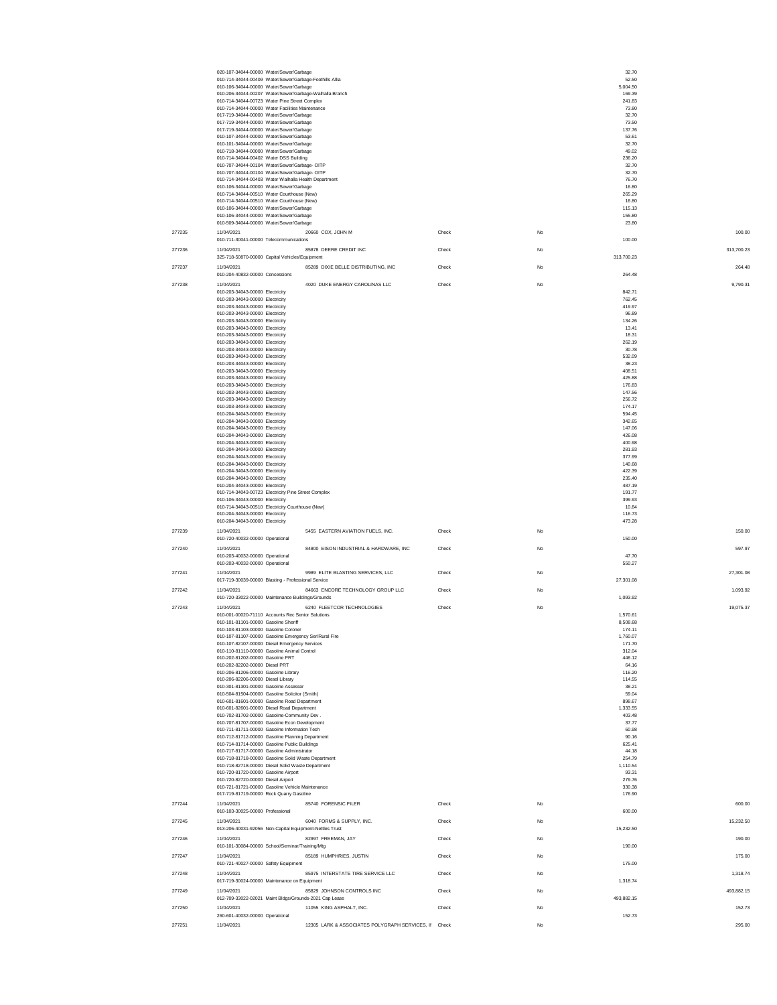|        | 020-107-34044-00000 Water/Sewer/Garbage                                                                |       |                    | 32.70          |
|--------|--------------------------------------------------------------------------------------------------------|-------|--------------------|----------------|
|        | 010-714-34044-00409 Water/Sewer/Garbage-Foothills Allia<br>010-106-34044-00000 Water/Sewer/Garbage     |       | 5.004.50           | 52.50          |
|        | 010-206-34044-00207 Water/Sewer/Garbage-Walhalla Branch                                                |       | 169.39             |                |
|        | 010-714-34044-00723 Water Pine Street Complex                                                          |       | 241.83             |                |
|        | 010-714-34044-00000 Water Facilities Maintenance                                                       |       | 73.80              |                |
|        | 017-719-34044-00000 Water/Sewer/Garbage                                                                |       | 32.70              |                |
|        | 017-719-34044-00000 Water/Sewer/Garbage<br>017-719-34044-00000 Water/Sewer/Garbage                     |       | 73.50              |                |
|        | 010-107-34044-00000 Water/Sewer/Garbage                                                                |       | 137.76<br>53.61    |                |
|        | 010-101-34044-00000 Water/Sewer/Garbage                                                                |       | 32.70              |                |
|        | 010-718-34044-00000 Water/Sewer/Garbage                                                                |       |                    | 49.02          |
|        | 010-714-34044-00402 Water DSS Building                                                                 |       | 236.20             |                |
|        | 010-707-34044-00104 Water/Sewer/Garbage- OITP<br>010-707-34044-00104 Water/Sewer/Garbage- OITP         |       | 32.70<br>32.70     |                |
|        | 010-714-34044-00403 Water Walhalla Health Department                                                   |       |                    | 76.70          |
|        | 010-106-34044-00000 Water/Sewer/Garbage                                                                |       |                    | 16.80          |
|        | 010-714-34044-00510 Water Courthouse (New)                                                             |       | 265.29             |                |
|        | 010-714-34044-00510 Water Courthouse (New)                                                             |       | 16.80              |                |
|        | 010-106-34044-00000 Water/Sewer/Garbage                                                                |       | 115.13             |                |
|        | 010-106-34044-00000 Water/Sewer/Garbage<br>010-509-34044-00000 Water/Sewer/Garbage                     |       | 155.80             | 23.80          |
|        |                                                                                                        |       |                    |                |
| 277235 | 11/04/2021<br>20660 COX, JOHN M<br>010-711-30041-00000 Telecommunications                              | Check | No<br>100.00       | 100.00         |
|        |                                                                                                        |       |                    |                |
| 277236 | 11/04/2021<br>85878 DEERE CREDIT INC<br>325-718-50870-00000 Capital Vehicles/Equipment                 | Check | No<br>313,700.23   | 313,700.23     |
|        |                                                                                                        |       |                    |                |
| 277237 | 85289 DIXIE BELLE DISTRIBUTING, INC<br>11/04/2021                                                      | Check | No                 | 264.48         |
|        | 010-204-40832-00000 Concessions                                                                        |       | 264.48             |                |
| 277238 | 4020 DUKE ENERGY CAROLINAS LLC<br>11/04/2021                                                           | Check | No                 | 9.790.31       |
|        | 010-203-34043-00000 Electricity<br>010-203-34043-00000 Electricity                                     |       | 842.71<br>762.45   |                |
|        | 010-203-34043-00000 Electricity                                                                        |       | 419.97             |                |
|        | 010-203-34043-00000 Electricity                                                                        |       | 96.89              |                |
|        | 010-203-34043-00000 Electricity                                                                        |       | 134.26             |                |
|        | 010-203-34043-00000 Electricity                                                                        |       |                    | 13.41          |
|        | 010-203-34043-00000 Electricity                                                                        |       |                    | 18.31          |
|        | 010-203-34043-00000 Electricity<br>010-203-34043-00000 Electricity                                     |       | 262.19<br>30.78    |                |
|        | 010-203-34043-00000 Electricity                                                                        |       | 532.09             |                |
|        | 010-203-34043-00000 Electricity                                                                        |       |                    | 38.23          |
|        | 010-203-34043-00000 Electricity                                                                        |       | 408.51             |                |
|        | 010-203-34043-00000 Electricity                                                                        |       | 425.88             |                |
|        | 010-203-34043-00000 Electricity                                                                        |       | 176.83             |                |
|        | 010-203-34043-00000 Electricity                                                                        |       | 147.56             |                |
|        | 010-203-34043-00000 Electricity<br>010-203-34043-00000 Electricity                                     |       | 256.72<br>174.17   |                |
|        | 010-204-34043-00000 Electricity                                                                        |       | 594.45             |                |
|        | 010-204-34043-00000 Electricity                                                                        |       | 342.65             |                |
|        | 010-204-34043-00000 Electricity                                                                        |       | 147.06             |                |
|        | 010-204-34043-00000 Electricity                                                                        |       | 426.08             |                |
|        | 010-204-34043-00000 Electricity                                                                        |       | 400.98             |                |
|        | 010-204-34043-00000 Electricity                                                                        |       | 281.93             |                |
|        | 010-204-34043-00000 Electricity                                                                        |       | 377.99             |                |
|        | 010-204-34043-00000 Electricity<br>010-204-34043-00000 Electricity                                     |       | 140.68<br>422.39   |                |
|        | 010-204-34043-00000 Electricity                                                                        |       | 235.40             |                |
|        | 010-204-34043-00000 Electricity                                                                        |       | 487.19             |                |
|        | 010-714-34043-00723 Electricity Pine Street Complex                                                    |       | 191.77             |                |
|        | 010-106-34043-00000 Electricity                                                                        |       | 399.93             |                |
|        | 010-714-34043-00510 Electricity Courthouse (New)                                                       |       |                    | 10.84          |
|        | 010-204-34043-00000 Electricity                                                                        |       | 116.73             |                |
|        | 010-204-34043-00000 Electricity                                                                        |       | 473.28             |                |
| 277239 | 11/04/2021<br>5455 EASTERN AVIATION FUELS, INC.                                                        | Check | No                 | 150.00         |
|        | 010-720-40032-00000 Operational                                                                        |       | 150.00             |                |
| 277240 | 11/04/2021<br>84800 EISON INDUSTRIAL & HARDWARE, INC                                                   | Check | No                 | 597.97         |
|        | 010-203-40032-00000 Operational                                                                        |       |                    | 47.70          |
|        | 010-203-40032-00000 Operational                                                                        |       | 550.27             |                |
| 277241 | 11/04/2021<br>9989 ELITE BLASTING SERVICES, LLC                                                        | Check | No                 | 27,301.08      |
|        | 017-719-30039-00000 Blasting - Professional Service                                                    |       | 27,301.08          |                |
| 277242 | 11/04/2021<br>84663 ENCORE TECHNOLOGY GROUP LLC                                                        | Check | No                 | 1,093.92       |
|        | 010-720-33022-00000 Maintenance Buildings/Grounds                                                      |       | 1,093.92           |                |
| 277243 | 6240 FLEETCOR TECHNOLOGIES<br>11/04/2021                                                               | Check | No                 | 19,075.37      |
|        | 010-001-00020-71110 Accounts Rec Senior Solutions                                                      |       | 1,570.61           |                |
|        | 010-101-81101-00000 Gasoline Sheriff                                                                   |       | 8,508.68           |                |
|        | 010-103-81103-00000 Gasoline Coroner                                                                   |       | 174.11             |                |
|        | 010-107-81107-00000 Gasoline Emergency Ser/Rural Fire<br>010-107-82107-00000 Diesel Emergency Services |       | 1,760.07<br>171.70 |                |
|        | 010-110-81110-00000 Gasoline Animal Control                                                            |       | 312.04             |                |
|        | 010-202-81202-00000 Gasoline PRT                                                                       |       | 446.12             |                |
|        | 010-202-82202-00000 Diesel PRT                                                                         |       | 64.16              |                |
|        | 010-206-81206-00000 Gasoline Library                                                                   |       | 116.20             |                |
|        | 010-206-82206-00000 Diesel Library                                                                     |       | 114.55             |                |
|        | 010-301-81301-00000 Gasoline Assessor<br>010-504-81504-00000 Gasoline Solicitor (Smith)                |       | 38.21<br>59.04     |                |
|        | 010-601-81601-00000 Gasoline Road Department                                                           |       | 898.67             |                |
|        | 010-601-82601-00000 Diesel Road Department                                                             |       | 1,333.55           |                |
|        | 010-702-81702-00000 Gasoline-Community Dev.                                                            |       | 403.48             |                |
|        | 010-707-81707-00000 Gasoline Econ Development                                                          |       | 37.77              |                |
|        | 010-711-81711-00000 Gasoline Information Tech<br>010-712-81712-00000 Gasoline Planning Department      |       |                    | 60.98<br>90.16 |
|        | 010-714-81714-00000 Gasoline Public Buildings                                                          |       | 625.41             |                |
|        | 010-717-81717-00000 Gasoline Administrator                                                             |       | 44.18              |                |
|        | 010-718-81718-00000 Gasoline Solid Waste Department                                                    |       | 254.79             |                |
|        | 010-718-82718-00000 Diesel Solid Waste Department                                                      |       | 1,110.54           |                |
|        | 010-720-81720-00000 Gasoline Airport                                                                   |       | 93.31              |                |
|        | 010-720-82720-00000 Diesel Airport<br>010-721-81721-00000 Gasoline Vehicle Maintenance                 |       | 279.76<br>330.38   |                |
|        | 017-719-81719-00000 Rock Quarry Gasoline                                                               |       | 176.90             |                |
| 277244 | 85740 FORENSIC FILER<br>11/04/2021                                                                     | Check | No                 | 600.00         |
|        | 010-103-30025-00000 Professional                                                                       |       | 600.00             |                |
| 277245 | 11/04/2021<br>6040 FORMS & SUPPLY, INC.                                                                | Check |                    | 15.232.50      |
|        | 013-206-40031-92056 Non-Capital Equipment-Nettles Trust                                                |       | No<br>15,232.50    |                |
|        |                                                                                                        |       |                    |                |
| 277246 | 11/04/2021<br>82997 FREEMAN, JAY<br>010-101-30084-00000 School/Seminar/Training/Mtg                    | Check | No<br>190.00       | 190.00         |
|        |                                                                                                        |       |                    |                |
| 277247 | 11/04/2021<br>85189 HUMPHRIES, JUSTIN                                                                  | Check | No                 | 175.00         |
|        | 010-721-40027-00000 Safety Equipment                                                                   |       | 175.00             |                |
| 277248 | 85975 INTERSTATE TIRE SERVICE LLC<br>11/04/2021                                                        | Check | No                 | 1,318.74       |
|        | 017-719-30024-00000 Maintenance on Equipment                                                           |       | 1,318.74           |                |
| 277249 | 11/04/2021<br>85829 JOHNSON CONTROLS INC                                                               | Check | No                 | 493,882.15     |
|        | 012-709-33022-02021 Maint Bldgs/Grounds-2021 Cap Lease                                                 |       | 493,882.15         |                |
| 277250 | 11/04/2021<br>11055 KING ASPHALT, INC.                                                                 | Check | No                 | 152.73         |
|        | 260-601-40032-00000 Operational                                                                        |       | 152.73             |                |
|        | 11/04/2021<br>12305 LARK & ASSOCIATES POLYGRAPH SERVICES, II Check                                     |       | $_{\rm No}$        | 295.00         |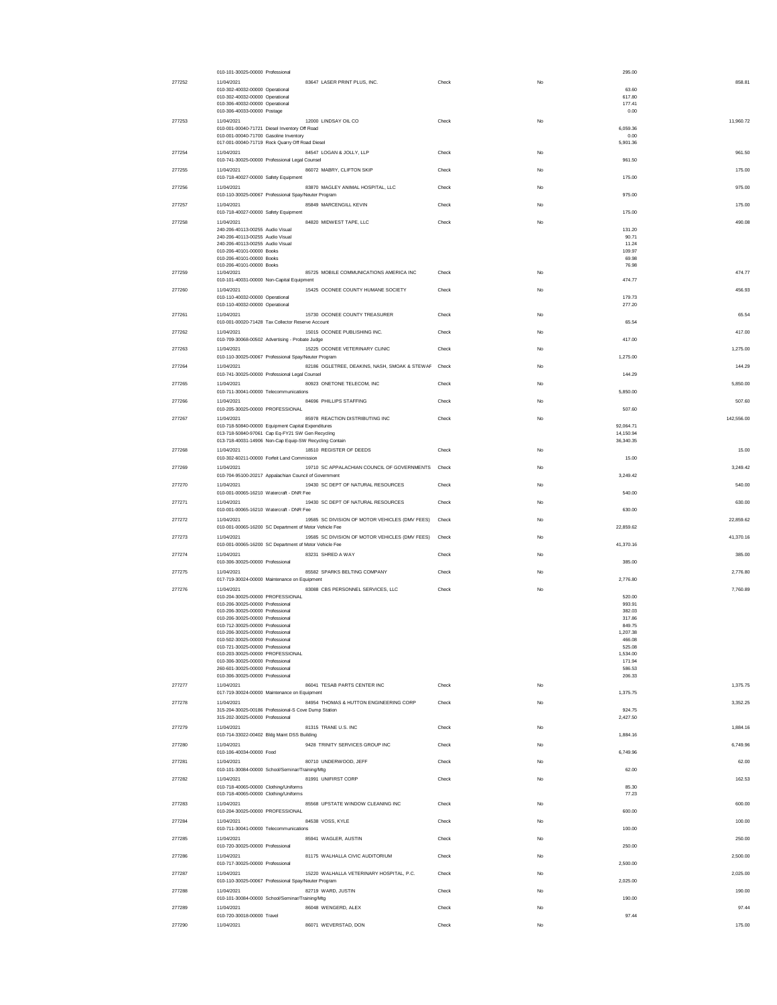|        | 010-101-30025-00000 Professional                                                                                   |       | 295.00             |            |
|--------|--------------------------------------------------------------------------------------------------------------------|-------|--------------------|------------|
| 277252 | 83647 LASER PRINT PLUS, INC.<br>11/04/2021                                                                         | Check | No                 | 858.81     |
|        | 010-302-40032-00000 Operational                                                                                    |       | 63.60              |            |
|        | 010-302-40032-00000 Operational<br>010-306-40032-00000 Operational                                                 |       | 617.80<br>177.41   |            |
|        | 010-306-40033-00000 Postage                                                                                        |       | 0.00               |            |
| 277253 | 12000 LINDSAY OIL CO<br>11/04/2021                                                                                 | Check | No                 | 11.960.72  |
|        | 010-001-00040-71721 Diesel Inventory Off Road                                                                      |       | 6,059.36           |            |
|        | 010-001-00040-71700 Gasoline Inventory<br>017-001-00040-71719 Rock Quarry Off Road Diesel                          |       | 0.00<br>5,901.36   |            |
| 277254 | 84547 LOGAN & JOLLY, LLP<br>11/04/2021                                                                             | Check | No                 | 961.50     |
|        | 010-741-30025-00000 Professional Legal Counsel                                                                     |       | 961.50             |            |
| 277255 | 86072 MABRY, CLIFTON SKIP<br>11/04/2021                                                                            | Check | No                 | 175.00     |
|        | 010-718-40027-00000 Safety Equipment                                                                               |       | 175.00             |            |
| 277256 | 83870 MAGLEY ANIMAL HOSPITAL, LLC<br>11/04/2021                                                                    | Check | No                 | 975.00     |
|        | 010-110-30025-00067 Professional Spay/Neuter Program                                                               |       | 975.00             |            |
| 277257 | 85849 MARCENGILL KEVIN<br>11/04/2021                                                                               | Check | No<br>175.00       | 175.00     |
| 277258 | 010-718-40027-00000 Safety Equipment<br>84820 MIDWEST TAPE, LLC<br>11/04/2021                                      | Check | No                 | 490.08     |
|        | 240-206-40113-00255 Audio Visual                                                                                   |       | 131.20             |            |
|        | 240-206-40113-00255 Audio Visual                                                                                   |       | 90.71              |            |
|        | 240-206-40113-00255 Audio Visual<br>010-206-40101-00000 Books                                                      |       | 11.24<br>109.97    |            |
|        | 010-206-40101-00000 Books                                                                                          |       | 69.98              |            |
|        | 010-206-40101-00000 Books                                                                                          |       | 76.98              |            |
| 277259 | 85725 MOBILE COMMUNICATIONS AMERICA INC<br>11/04/2021<br>010-101-40031-00000 Non-Capital Equipment                 | Check | No<br>474.77       | 474.77     |
| 277260 | 15425 OCONEE COUNTY HUMANE SOCIETY<br>11/04/2021                                                                   | Check | No                 | 456.93     |
|        | 010-110-40032-00000 Operational                                                                                    |       | 179.73             |            |
|        | 010-110-40032-00000 Operational                                                                                    |       | 277.20             |            |
| 277261 | 15730 OCONEE COUNTY TREASURER<br>11/04/2021                                                                        | Check | No                 | 65.54      |
|        | 010-001-00020-71428 Tax Collector Reserve Account                                                                  |       | 65.54              |            |
| 277262 | 11/04/2021<br>15015 OCONEE PUBLISHING INC.<br>010-709-30068-00502 Advertising - Probate Judge                      | Check | No<br>417.00       | 417.00     |
| 277263 | 15225 OCONEE VETERINARY CLINIC<br>11/04/2021                                                                       | Check | No                 | 1,275.00   |
|        | 010-110-30025-00067 Professional Spay/Neuter Program                                                               |       | 1.275.00           |            |
| 277264 | 82186 OGLETREE, DEAKINS, NASH, SMOAK & STEWAF Check<br>11/04/2021                                                  |       | No                 | 144.29     |
|        | 010-741-30025-00000 Professional Legal Counsel                                                                     |       | 144.29             |            |
| 277265 | 11/04/2021<br>80923 ONETONE TELECOM, INC                                                                           | Check | No                 | 5,850.00   |
|        | 010-711-30041-00000 Telecommunications                                                                             |       | 5,850.00           |            |
| 277266 | 11/04/2021<br>84696 PHILLIPS STAFFING                                                                              | Check | No                 | 507.60     |
|        | 010-205-30025-00000 PROFESSIONAL                                                                                   |       | 507.60             |            |
| 277267 | 85978 REACTION DISTRIBUTING INC<br>11/04/2021<br>010-718-50840-00000 Equipment Capital Expenditures                | Check | No<br>92,064.71    | 142,556.00 |
|        | 013-718-50840-97061 Cap Eq-FY21 SW Gen Recycling                                                                   |       | 14,150.94          |            |
|        | 013-718-40031-14906 Non-Cap Equip-SW Recycling Contain                                                             |       | 36,340.35          |            |
| 277268 | 18510 REGISTER OF DEEDS<br>11/04/2021                                                                              | Check | No                 | 15.00      |
|        | 010-302-60211-00000 Forfeit Land Commission                                                                        |       | 15.00              |            |
| 277269 | 11/04/2021<br>19710 SC APPALACHIAN COUNCIL OF GOVERNMENTS<br>010-704-95100-20217 Appalachian Council of Government | Check | No<br>3,249.42     | 3,249.42   |
| 277270 | 11/04/2021<br>19430 SC DEPT OF NATURAL RESOURCES                                                                   | Check | No                 | 540.00     |
|        | 010-001-00065-16210 Watercraft - DNR Fee                                                                           |       | 540.00             |            |
| 277271 | 19430 SC DEPT OF NATURAL RESOURCES<br>11/04/2021                                                                   | Check | No                 | 630.00     |
|        |                                                                                                                    |       |                    |            |
|        | 010-001-00065-16210 Watercraft - DNR Fee                                                                           |       | 630.00             |            |
| 277272 | 19585 SC DIVISION OF MOTOR VEHICLES (DMV FEES)<br>11/04/2021                                                       | Check | No                 | 22,859.62  |
|        | 010-001-00065-16200 SC Department of Motor Vehicle Fee                                                             |       | 22,859.62          |            |
| 277273 | 19585 SC DIVISION OF MOTOR VEHICLES (DMV FEES)<br>11/04/2021                                                       | Check | No                 | 41,370.16  |
|        | 010-001-00065-16200 SC Department of Motor Vehicle Fee                                                             |       | 41,370.16          |            |
| 277274 | 83231 SHRED A WAY<br>11/04/2021<br>010-306-30025-00000 Professional                                                | Check | No<br>385.00       | 385.00     |
| 277275 | 85582 SPARKS BELTING COMPANY<br>11/04/2021                                                                         | Check | No                 | 2.776.80   |
|        | 017-719-30024-00000 Maintenance on Equipment                                                                       |       | 2,776.80           |            |
| 277276 | 83088 CBS PERSONNEL SERVICES, LLC<br>11/04/2021                                                                    | Check | No                 | 7,760.89   |
|        | 010-204-30025-00000 PROFESSIONAL                                                                                   |       | 520.00             |            |
|        | 010-206-30025-00000 Professional<br>010-206-30025-00000 Professional                                               |       | 993.91<br>382.03   |            |
|        | 010-206-30025-00000 Professional                                                                                   |       | 317.86             |            |
|        | 010-712-30025-00000 Professional                                                                                   |       | 849.75             |            |
|        | 010-206-30025-00000 Professional<br>010-502-30025-00000 Prote                                                      |       | 1,207.38<br>466.08 |            |
|        | 010-721-30025-00000 Professional                                                                                   |       | 525.08             |            |
|        | 010-203-30025-00000 PROFESSIONAL<br>010-306-30025-00000 Professional                                               |       | 1,534.00<br>171.94 |            |
|        | 260-601-30025-00000 Professional                                                                                   |       | 586.53             |            |
|        | 010-306-30025-00000 Professional                                                                                   |       | 206.33             |            |
| 277277 | 86041 TESAB PARTS CENTER INC<br>11/04/2021                                                                         | Check | No                 | 1,375.75   |
|        | 017-719-30024-00000 Maintenance on Equipment                                                                       |       | 1,375.75           |            |
| 277278 | 84954 THOMAS & HUTTON ENGINEERING CORP<br>11/04/2021                                                               | Check | No<br>924.75       | 3.352.25   |
|        | 315-204-30025-00186 Professional-S Cove Dump Station<br>315-202-30025-00000 Professional                           |       | 2,427.50           |            |
| 277279 | 11/04/2021<br>81315 TRANE U.S. INC                                                                                 | Check | No                 | 1,884.16   |
|        | 010-714-33022-00402 Bldg Maint DSS Building                                                                        |       | 1,884.16           |            |
| 277280 | 11/04/2021<br>9428 TRINITY SERVICES GROUP INC                                                                      | Check | No                 | 6.749.96   |
|        | 010-106-40034-00000 Food<br>11/04/2021                                                                             |       | 6,749.96           |            |
| 277281 | 80710 UNDERWOOD, JEFF<br>010-101-30084-00000 School/Seminar/Training/Mtg                                           | Check | No<br>62.00        | 62.00      |
| 277282 | 81991 UNIFIRST CORP<br>11/04/2021                                                                                  | Check | No                 | 162.53     |
|        | 010-718-40065-00000 Clothing/Uniforms                                                                              |       | 85.30              |            |
|        | 010-718-40065-00000 Clothing/Uniforms                                                                              |       | 77.23              |            |
| 277283 | 85568 UPSTATE WINDOW CLEANING INC<br>11/04/2021                                                                    | Check | No<br>600.00       | 600.00     |
|        | 010-204-30025-00000 PROFESSIONAL                                                                                   |       | No                 |            |
| 277284 | 11/04/2021<br>84538 VOSS, KYLE<br>010-711-30041-00000 Telecommunications                                           | Check | 100.00             | 100.00     |
| 277285 | 85941 WAGLER, AUSTIN<br>11/04/2021                                                                                 | Check | No                 | 250.00     |
|        | 010-720-30025-00000 Professional                                                                                   |       | 250.00             |            |
| 277286 | 11/04/2021<br>81175 WALHALLA CIVIC AUDITORIUM                                                                      | Check | No                 | 2,500.00   |
|        | 010-717-30025-00000 Professional                                                                                   |       | 2,500.00           |            |
| 277287 | 11/04/2021<br>15220 WALHALLA VETERINARY HOSPITAL, P.C.<br>010-110-30025-00067 Professional Spay/Neuter Program     | Check | No<br>2,025.00     | 2,025.00   |
| 277288 | 82719 WARD, JUSTIN<br>11/04/2021                                                                                   | Check | No                 | 190.00     |
|        | 010-101-30084-00000 School/Seminar/Training/Mtg                                                                    |       | 190.00             |            |
| 277289 | 11/04/2021<br>86048 WENGERD, ALEX                                                                                  | Check | No                 | 97.44      |
| 277290 | 010-720-30018-00000 Travel<br>11/04/2021<br>86071 WEVERSTAD, DON                                                   | Check | 97.44<br>No        | 175.00     |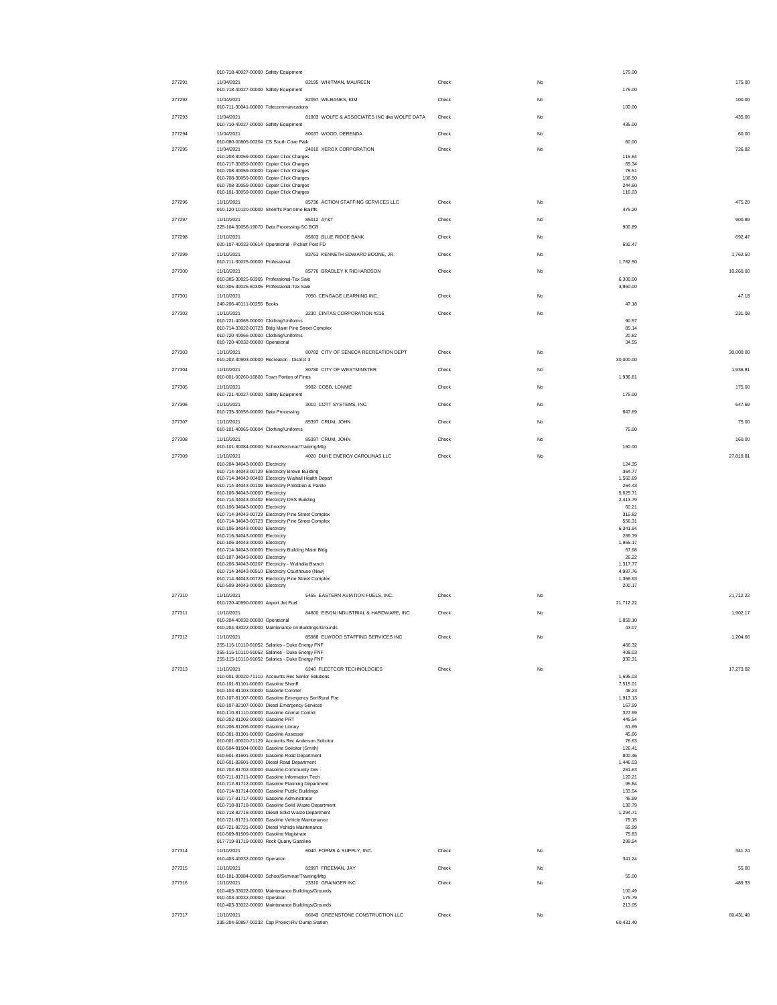|        | 010-718-40027-00000 Safety Equipment                                                                     |       |             | 175.00               |           |
|--------|----------------------------------------------------------------------------------------------------------|-------|-------------|----------------------|-----------|
| 277291 | 11/04/2021<br>82195 WHITMAN, MAUREEN<br>010-718-40027-00000 Safety Equipment                             | Check | No          | 175.00               | 175.00    |
| 277292 | 11/04/2021<br>82097 WILBANKS, KIM                                                                        | Check | No          |                      | 100.00    |
|        | 010-711-30041-00000 Telecommunications                                                                   |       |             | 100.00               |           |
| 277293 | 81903 WOLFE & ASSOCIATES INC dka WOLFE DATA<br>11/04/2021<br>010-710-40027-00000 Safety Equipment        | Check | No          | 435.00               | 435.00    |
| 277294 | 80037 WOOD, DERENDA<br>11/04/2021                                                                        | Check | No          |                      | 60.00     |
|        | 010-080-00805-00204 CS South Cove Park                                                                   |       |             | 60.00                |           |
| 277295 | 24010 XEROX CORPORATION<br>11/04/2021<br>010-203-30059-00000 Copier Click Charges                        | Check | No          | 115.84               | 726.82    |
|        | 010-717-30059-00000 Copier Click Charges                                                                 |       |             | 65.34                |           |
|        | 010-708-30059-00000 Copier Click Charges<br>010-708-30059-00000 Copier Click Charges                     |       |             | 78.51<br>106.50      |           |
|        | 010-708-30059-00000 Copier Click Charges                                                                 |       |             | 244.60               |           |
| 277296 | 010-101-30059-00000 Copier Click Charges<br>85736 ACTION STAFFING SERVICES LLC<br>11/10/2021             | Check | No          | 116.03               | 475.20    |
|        | 010-120-10120-00000 Sheriff's Part-time Bailiffs                                                         |       |             | 475.20               |           |
| 277297 | 11/10/2021<br>85012 AT&T                                                                                 | Check | No          |                      | 900.89    |
| 277298 | 225-104-30056-19070 Data Processing-SC BCB<br>85603 BLUE RIDGE BANK<br>11/10/2021                        | Check | No          | 900.89               | 692.47    |
|        | 020-107-40032-00614 Operational - Pickett Post FD                                                        |       |             | 692.47               |           |
| 277299 | 83761 KENNETH EDWARD BOONE, JR.<br>11/10/2021                                                            | Check | No          |                      | 1,762.50  |
|        | 010-711-30025-00000 Professional<br>11/10/2021                                                           |       | No          | 1.762.50             | 10,260.00 |
| 277300 | 85776 BRADLEY K RICHARDSON<br>010-305-30025-60305 Professional-Tax Sale                                  | Check |             | 6,300.00             |           |
|        | 010-305-30025-60305 Professional-Tax Sale                                                                |       |             | 3,960.00             |           |
| 277301 | 7050 CENGAGE LEARNING INC.<br>11/10/2021<br>240-206-40111-00255 Books                                    | Check | No          | 47.18                | 47.18     |
| 277302 | 11/10/2021<br>3230 CINTAS CORPORATION #216                                                               | Check | No          |                      | 231.08    |
|        | 010-721-40065-00000 Clothing/Uniforms                                                                    |       |             | 90.57                |           |
|        | 010-714-33022-00723 Bldg Maint Pine Street Complex<br>010-720-40065-00000 Clothing/Uniforms              |       |             | 85.14<br>20.82       |           |
|        | 010-720-40032-00000 Operational                                                                          |       |             | 34.55                |           |
| 277303 | 80782 CITY OF SENECA RECREATION DEPT<br>11/10/2021<br>010-202-30903-00000 Recreation - District 3        | Check | No          | 30,000.00            | 30,000.00 |
| 277304 | 80780 CITY OF WESTMINSTER<br>11/10/2021                                                                  | Check | No          |                      | 1.936.81  |
|        | 010-001-00260-16800 Town Portion of Fines                                                                |       |             | 1.936.81             |           |
| 277305 | 9992 COBB, LONNIE<br>11/10/2021                                                                          | Check | No          |                      | 175.00    |
| 277306 | 010-721-40027-00000 Safety Equipment<br>11/10/2021<br>3010 COTT SYSTEMS, INC.                            | Check | No          | 175.00               | 647.69    |
|        | 010-735-30056-00000 Data Processing                                                                      |       |             | 647.69               |           |
| 277307 | 11/10/2021<br>85397 CRUM, JOHN                                                                           | Check | No          |                      | 75.00     |
|        | 010-101-40065-00004 Clothing/Uniforms                                                                    |       |             | 75.00                |           |
| 277308 | 11/10/2021<br>85397 CRUM, JOHN<br>010-101-30084-00000 School/Seminar/Training/Mtg                        | Check | No          | 160.00               | 160.00    |
| 277309 | 11/10/2021<br>4020 DUKE ENERGY CAROLINAS LLC                                                             | Check | No          |                      | 27,819.81 |
|        | 010-204-34043-00000 Electricity                                                                          |       |             | 124.35<br>364.77     |           |
|        | 010-714-34043-00729 Electricity Brown Building<br>010-714-34043-00403 Electricity Walhall Health Depart  |       |             | 1.560.69             |           |
|        | 010-714-34043-00109 Electricity Probation & Parole<br>010-106-34043-00000 Electricity                    |       |             | 264.43<br>5,625.71   |           |
|        | 010-714-34043-00402 Electricity DSS Building                                                             |       |             | 2,413.79             |           |
|        | 010-106-34043-00000 Electricity<br>010-714-34043-00723 Electricity Pine Street Complex                   |       |             | 60.21                |           |
|        |                                                                                                          |       |             |                      |           |
|        | 010-714-34043-00723 Electricity Pine Street Complex                                                      |       |             | 315.82<br>556.31     |           |
|        | 010-106-34043-00000 Electricity                                                                          |       |             | 6,341.94<br>269.79   |           |
|        | 010-716-34043-00000 Electricity<br>010-106-34043-00000 Electricity                                       |       |             | 1,955.17             |           |
|        | 010-714-34043-00000 Electricity Building Maint Bldg                                                      |       |             | 67.98<br>26.22       |           |
|        | 010-107-34043-00000 Electricity<br>010-206-34043-00207 Electricity - Walhalla Branch                     |       |             | 1,317.77             |           |
|        | 010-714-34043-00510 Electricity Courthouse (New)<br>010-714-34043-00723 Electricity Pine Street Complex  |       |             | 4.987.76<br>1,366.93 |           |
|        | 010-509-34043-00000 Electricity                                                                          |       |             | 200.17               |           |
| 277310 | 11/10/2021<br>5455 EASTERN AVIATION FUELS, INC.                                                          | Check | No          |                      | 21,712.22 |
| 277311 | 010-720-40990-00000 Airport Jet Fuel<br>84800 EISON INDUSTRIAL & HARDWARE, INC<br>11/10/2021             | Check | No          | 21,712.22            | 1,902.17  |
|        | 010-204-40032-00000 Operational                                                                          |       |             | 1,859.10             |           |
|        | 010-204-33022-00000 Maintenance on Buildings/Grounds                                                     |       |             | 43.07                |           |
| 277312 | 85988 ELWOOD STAFFING SERVICES INC<br>11/10/2021<br>255-115-10110-91052 Salaries - Duke Energy FNF       | Check |             | 466.32               | 1,204.66  |
|        | 255-115-10110-91052 Salaries - Duke Energy FNF                                                           |       |             | 408.03               |           |
| 277313 | 255-115-10110-91052 Salaries - Duke Energy FNF<br>6240 FLEETCOR TECHNOLOGIES<br>11/10/2021               | Check | No          | 330.31               | 17.273.02 |
|        | 010-001-00020-71110 Accounts Rec Senior Solutions                                                        |       |             | 1,695.03             |           |
|        | 010-101-81101-00000 Gasoline Sheriff<br>010-103-81103-00000 Gasoline Coroner                             |       |             | 7,515.01<br>48.23    |           |
|        | 010-107-81107-00000 Gasoline Emergency Ser/Rural Fire                                                    |       |             | 1,913.13             |           |
|        | 010-107-82107-00000 Diesel Emergency Services<br>010-110-81110-00000 Gasoline Animal Control             |       |             | 167.59<br>327.99     |           |
|        | 010-202-81202-00000 Gasoline PRT                                                                         |       |             | 445.54               |           |
|        | 010-206-81206-00000 Gasoline Library<br>010-301-81301-00000 Gasoline Assessor                            |       |             | 61.69<br>45.66       |           |
|        | 010-001-00020-71129 Accounts Rec Anderson Solicitor                                                      |       |             | 76.63                |           |
|        | 010-504-81504-00000 Gasoline Solicitor (Smith)<br>010-601-81601-00000 Gasoline Road Department           |       |             | 126.41<br>800.46     |           |
|        | 010-601-82601-00000 Diesel Road Department<br>010-702-81702-00000 Gasoline-Community Dev.                |       |             | 1,446.03<br>261.63   |           |
|        | 010-711-81711-00000 Gasoline Information Tech                                                            |       |             | 120.21               |           |
|        | 010-712-81712-00000 Gasoline Planning Department<br>010-714-81714-00000 Gasoline Public Buildings        |       |             | 95.84<br>133.54      |           |
|        | 010-717-81717-00000 Gasoline Administrator                                                               |       |             | 45.99                |           |
|        | 010-718-81718-00000 Gasoline Solid Waste Department<br>010-718-82718-00000 Diesel Solid Waste Department |       |             | 130.79<br>1,294.71   |           |
|        | 010-721-81721-00000 Gasoline Vehicle Maintenance<br>010-721-82721-00000 Diesel Vehicle Maintenance       |       |             | 79.15<br>65.99       |           |
|        | 010-509-81509-00000 Gasoline Magistrate                                                                  |       |             | 75.83                |           |
|        | 017-719-81719-00000 Rock Quarry Gasoline                                                                 |       |             | 299.94               |           |
| 277314 | 6040 FORMS & SUPPLY, INC.<br>11/10/2021<br>010-403-40032-00000 Operation                                 | Check | $_{\rm No}$ | 341.24               | 341.24    |
| 277315 | 82997 FREEMAN, JAY<br>11/10/2021                                                                         | Check | No          |                      | 55.00     |
|        | 010-101-30084-00000 School/Seminar/Training/Mtg                                                          |       | No          | 55.00                |           |
| 277316 | 11/10/2021<br>23310 GRAINGER INC<br>010-403-33022-00000 Maintenance Buildings/Grounds                    | Check |             | 100.49               | 489.33    |
|        | 010-403-40032-00000 Operation<br>010-403-33022-00000 Maintenance Buildings/Grounds                       |       |             | 175.79<br>213.05     |           |
| 277317 | 86043 GREENSTONE CONSTRUCTION LLC<br>11/10/2021<br>235-204-50857-00232 Cap Project-RV Dump Station       | Check | No          | 60,431.40            | 60,431.40 |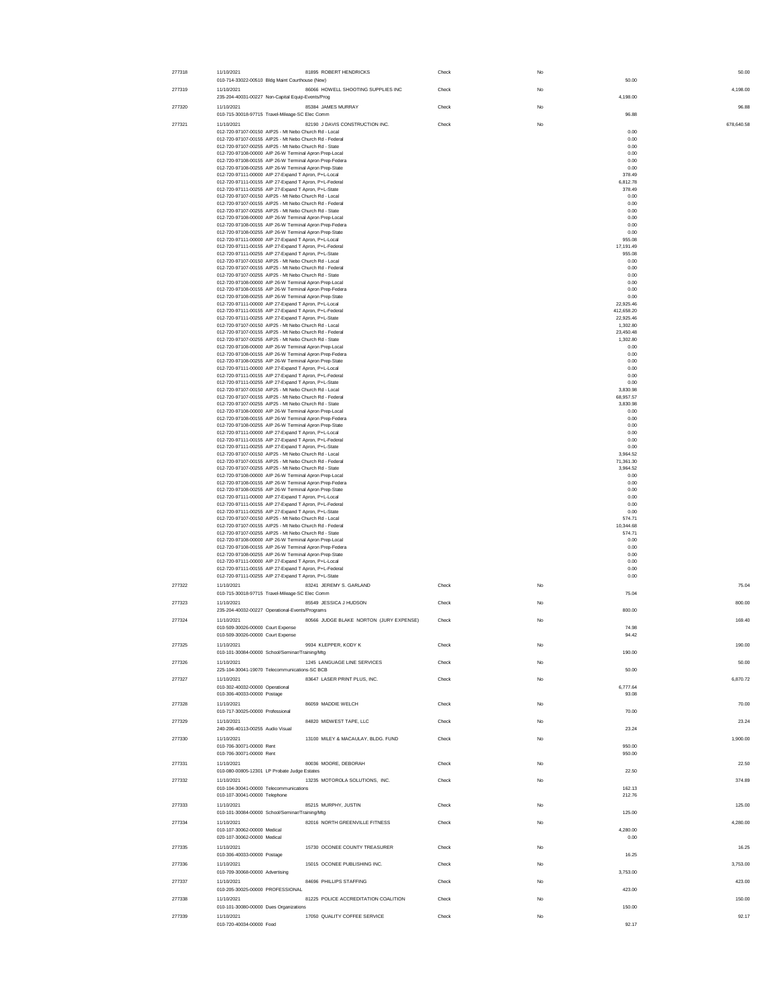| 277318 | 11/10/2021<br>81895 ROBERT HENDRICKS                                                                              | Check | No |                         | 50.00      |
|--------|-------------------------------------------------------------------------------------------------------------------|-------|----|-------------------------|------------|
| 277319 | 010-714-33022-00510 Bldg Maint Courthouse (New)<br>86066 HOWELL SHOOTING SUPPLIES INC<br>11/10/2021               | Check | No | 50.00                   | 4,198.00   |
| 277320 | 235-204-40031-00227 Non-Capital Equip-Events/Prog<br>85384 JAMES MURRAY<br>11/10/2021                             | Check | No | 4,198.00                | 96.88      |
|        | 010-715-30018-97715 Travel-Mileage-SC Elec Comm                                                                   |       |    | 96.88                   |            |
| 277321 | 82190 J DAVIS CONSTRUCTION INC.<br>11/10/2021<br>012-720-97107-00150 AIP25 - Mt Nebo Church Rd - Local            | Check | No | 0.00                    | 678,640.58 |
|        | 012-720-97107-00155 AIP25 - Mt Nebo Church Rd - Federal<br>012-720-97107-00255 AIP25 - Mt Nebo Church Rd - State  |       |    | 0.00<br>0.00            |            |
|        | 012-720-97108-00000 AIP 26-W Terminal Anron Pren-Local<br>012-720-97108-00155 AIP 26-W Terminal Apron Prep-Federa |       |    | 0.00<br>0.00            |            |
|        | 012-720-97108-00255 AIP 26-W Terminal Apron Prep-State                                                            |       |    | 0.00                    |            |
|        | 012-720-97111-00000 AIP 27-Expand T Apron, P+L-Local<br>012-720-97111-00155 AIP 27-Expand T Apron, P+L-Federal    |       |    | 378.49<br>6,812.78      |            |
|        | 012-720-97111-00255 AIP 27-Expand T Apron P+L-State<br>012-720-97107-00150 AIP25 - Mt Nebo Church Rd - Local      |       |    | 378.49<br>0.00          |            |
|        | 012-720-97107-00155 AIP25 - Mt Nebo Church Rd - Federal                                                           |       |    | 0.00                    |            |
|        | 012-720-97107-00255 AIP25 - Mt Nebo Church Rd - State<br>012-720-97108-00000 AIP 26-W Terminal Apron Prep-Local   |       |    | 0.00<br>0.00            |            |
|        | 012-720-97108-00155 AIP 26-W Terminal Apron Prep-Federa                                                           |       |    | 0.00                    |            |
|        | 012-720-97108-00255 AIP 26-W Terminal Apron Prep-State<br>012-720-97111-00000 AIP 27-Expand T Apron, P+L-Local    |       |    | 0.00<br>955.08          |            |
|        | 012-720-97111-00155 AIP 27-Expand T Apron, P+L-Federal<br>012-720-97111-00255 AIP 27-Expand T Apron, P+L-State    |       |    | 17,191.49<br>955.08     |            |
|        | 012-720-97107-00150 AIP25 - Mt Nebo Church Rd - Local                                                             |       |    | 0.00                    |            |
|        | 012-720-97107-00155 AIP25 - Mt Nebo Church Rd - Federal<br>012-720-97107-00255 AIP25 - Mt Nebo Church Rd - State  |       |    | 0.00<br>0.00            |            |
|        | 012-720-97108-00000 AIP 26-W Terminal Apron Prep-Local<br>012-720-97108-00155 AIP 26-W Terminal Apron Prep-Federa |       |    | 0.00<br>0.00            |            |
|        | 012-720-97108-00255 AIP 26-W Terminal Apron Prep-State                                                            |       |    | 0.00                    |            |
|        | 012-720-97111-00000 AIP 27-Expand T Apron, P+L-Local<br>012-720-97111-00155 AIP 27-Expand T Apron, P+L-Federal    |       |    | 22,925.46<br>412,658.20 |            |
|        | 012-720-97111-00255 AIP 27-Expand T Apron, P+L-State                                                              |       |    | 22,925.46               |            |
|        | 012-720-97107-00150 AIP25 - Mt Nebo Church Rd - Local<br>012-720-97107-00155 AIP25 - Mt Nebo Church Rd - Federal  |       |    | 1,302.80<br>23,450.48   |            |
|        | 012-720-97107-00255 AIP25 - Mt Nebo Church Rd - State<br>012-720-97108-00000 AIP 26-W Terminal Apron Prep-Local   |       |    | 1,302.80<br>0.00        |            |
|        | 012-720-97108-00155 AIP 26-W Terminal Apron Prep-Federa                                                           |       |    | 0.00                    |            |
|        | 012-720-97108-00255 AIP 26-W Terminal Apron Prep-State<br>012-720-97111-00000 AIP 27-Expand T Apron, P+L-Local    |       |    | 0.00<br>0.00            |            |
|        | 012-720-97111-00155 AIP 27-Expand T Apron, P+L-Federal                                                            |       |    | 0.00                    |            |
|        | 012-720-97111-00255 AIP 27-Expand T Apron, P+L-State<br>012-720-97107-00150 AIP25 - Mt Nebo Church Rd - Local     |       |    | 0.00<br>3,830.98        |            |
|        | 012-720-97107-00155 AIP25 - Mt Nebo Church Rd - Eederal<br>012-720-97107-00255 AIP25 - Mt Nebo Church Rd - State  |       |    | 68.957.57<br>3,830.98   |            |
|        | 012-720-97108-00000 AIP 26-W Terminal Apron Prep-Local                                                            |       |    | 0.00                    |            |
|        | 012-720-97108-00155 AIP 26-W Terminal Apron Prep-Federa<br>012-720-97108-00255 AIP 26-W Terminal Apron Prep-State |       |    | 0.00<br>0.00            |            |
|        | 012-720-97111-00000 AIP 27-Expand T Apron, P+L-Local                                                              |       |    | 0.00                    |            |
|        | 012-720-97111-00155 AIP 27-Expand T Apron, P+L-Federal<br>012-720-97111-00255 AIP 27-Expand T Apron, P+L-State    |       |    | 0.00<br>0.00            |            |
|        | 012-720-97107-00150 AIP25 - Mt Nebo Church Rd - Local<br>012-720-97107-00155 AIP25 - Mt Nebo Church Rd - Federal  |       |    | 3,964.52<br>71,361.30   |            |
|        | 012-720-97107-00255 AIP25 - Mt Nebo Church Rd - State                                                             |       |    | 3,964.52                |            |
|        | 012-720-97108-00000 AIP 26-W Terminal Apron Prep-Local<br>012-720-97108-00155 AIP 26-W Terminal Apron Prep-Federa |       |    | 0.00<br>0.00            |            |
|        | 012-720-97108-00255 AIP 26-W Terminal Apron Prep-State<br>012-720-97111-00000 AIP 27-Expand T Apron, P+L-Local    |       |    | 0.00<br>0.00            |            |
|        | 012-720-97111-00155 AIP 27-Expand T Apron, P+L-Federal                                                            |       |    | 0.00                    |            |
|        | 012-720-97111-00255 AIP 27-Expand T Apron, P+L-State<br>012-720-97107-00150 AIP25 - Mt Nebo Church Rd - Local     |       |    | 0.00<br>574.71          |            |
|        | 012-720-97107-00155 AIP25 - Mt Nebo Church Rd - Federal                                                           |       |    | 10,344.68               |            |
|        | 012-720-97107-00255 AIP25 - Mt Nebo Church Rd - State<br>012-720-97108-00000 AIP 26-W Terminal Apron Prep-Local   |       |    | 574.71<br>0.00          |            |
|        | 012-720-97108-00155 AIP 26-W Terminal Apron Prep-Federa<br>012-720-97108-00255 AIP 26-W Terminal Apron Prep-State |       |    | 0.00<br>0.00            |            |
|        | 012-720-97111-00000 AIP 27-Expand T Apron, P+L-Local                                                              |       |    | 0.00                    |            |
|        | 012-720-97111-00155 AIP 27-Expand T Apron, P+L-Federal<br>012-720-97111-00255 AIP 27-Expand T Apron, P+L-State    |       |    | 0.00<br>0.00            |            |
| 277322 | 83241 JEREMY S. GARLAND<br>11/10/2021                                                                             | Check | No |                         | 75.04      |
|        | 010-715-30018-97715 Travel-Mileage-SC Elec Comm<br>11/10/2021                                                     |       |    | 75.04                   |            |
| 277323 | 85549 JESSICA J HUDSON<br>235-204-40032-00227 Operational-Events/Programs                                         | Check | No | 800.00                  | 800.00     |
| 277324 | 80566 JUDGE BLAKE NORTON (JURY EXPENSE)<br>11/10/2021                                                             | Check | No |                         | 169.40     |
|        | 010-509-30026-00000 Court Expense<br>010-509-30026-00000 Court Expense                                            |       |    | 74 98<br>94.42          |            |
| 277325 | 11/10/2021<br>9934 KLEPPER, KODY K                                                                                | Check | No |                         | 190.00     |
|        | 010-101-30084-00000 School/Seminar/Training/Mtg                                                                   |       |    | 190.00                  |            |
| 277326 | 1245 LANGUAGE LINE SERVICES<br>11/10/2021<br>225-104-30041-19070 Telecommunications-SC BCB                        | Check | No | 50.00                   | 50.00      |
| 277327 | 83647 LASER PRINT PLUS, INC.<br>11/10/2021                                                                        | Check | No |                         | 6,870.72   |
|        | 010-302-40032-00000 Operational<br>010-306-40033-00000 Postage                                                    |       |    | 6,777.64<br>93.08       |            |
| 277328 | 11/10/2021<br>86059 MADDIE WELCH                                                                                  | Check | No |                         | 70.00      |
|        | 010-717-30025-00000 Professional                                                                                  |       |    | 70.00                   |            |
| 277329 | 11/10/2021<br>84820 MIDWEST TAPE, LLC<br>240-206-40113-00255 Audio Visual                                         | Check | No | 23.24                   | 23.24      |
| 277330 | 13100 MILEY & MACAULAY, BLDG. FUND<br>11/10/2021                                                                  | Check | No |                         | 1,900.00   |
|        | 010-706-30071-00000 Rent                                                                                          |       |    | 950.00<br>950.00        |            |
| 277331 | 010-706-30071-00000 Rent<br>80036 MOORE, DEBORAH<br>11/10/2021                                                    | Check | No |                         | 22.50      |
|        | 010-080-00805-12301 LP Probate Judge Estates                                                                      |       |    | 22.50                   |            |
| 277332 | 13235 MOTOROLA SOLUTIONS, INC.<br>11/10/2021                                                                      | Check | No | 162.13                  | 374.89     |
|        | 010-104-30041-00000 Telecommunications<br>010-107-30041-00000 Telephone                                           |       |    | 212.76                  |            |
| 277333 | 85215 MURPHY, JUSTIN<br>11/10/2021                                                                                | Check | No |                         | 125.00     |
| 277334 | 010-101-30084-00000 School/Seminar/Training/Mtg<br>82016 NORTH GREENVILLE FITNESS<br>11/10/2021                   | Check | No | 125.00                  | 4,280.00   |
|        | 010-107-30062-00000 Medical                                                                                       |       |    | 4,280.00                |            |
|        | 020-107-30062-00000 Medical                                                                                       |       |    | 0.00                    |            |
| 277335 | 15730 OCONEE COUNTY TREASURER<br>11/10/2021<br>010-306-40033-00000 Postage                                        | Check | No | 16.25                   | 16.25      |
| 277336 | 11/10/2021<br>15015 OCONEE PUBLISHING INC.                                                                        | Check | No |                         | 3,753.00   |
| 277337 | 010-709-30068-00000 Advertising<br>11/10/2021<br>84696 PHILLIPS STAFFING                                          | Check | No | 3,753.00                | 423.00     |
|        | 010-205-30025-00000 PROFESSIONAL                                                                                  |       |    | 423.00                  |            |
| 277338 | 11/10/2021<br>81225 POLICE ACCREDITATION COALITION                                                                | Check | No |                         | 150.00     |
| 277339 | 010-101-30080-00000 Dues Organizations<br>17050 QUALITY COFFEE SERVICE<br>11/10/2021                              | Check | No | 150.00                  | 92.17      |
|        | 010-720-40034-00000 Food                                                                                          |       |    | 92.17                   |            |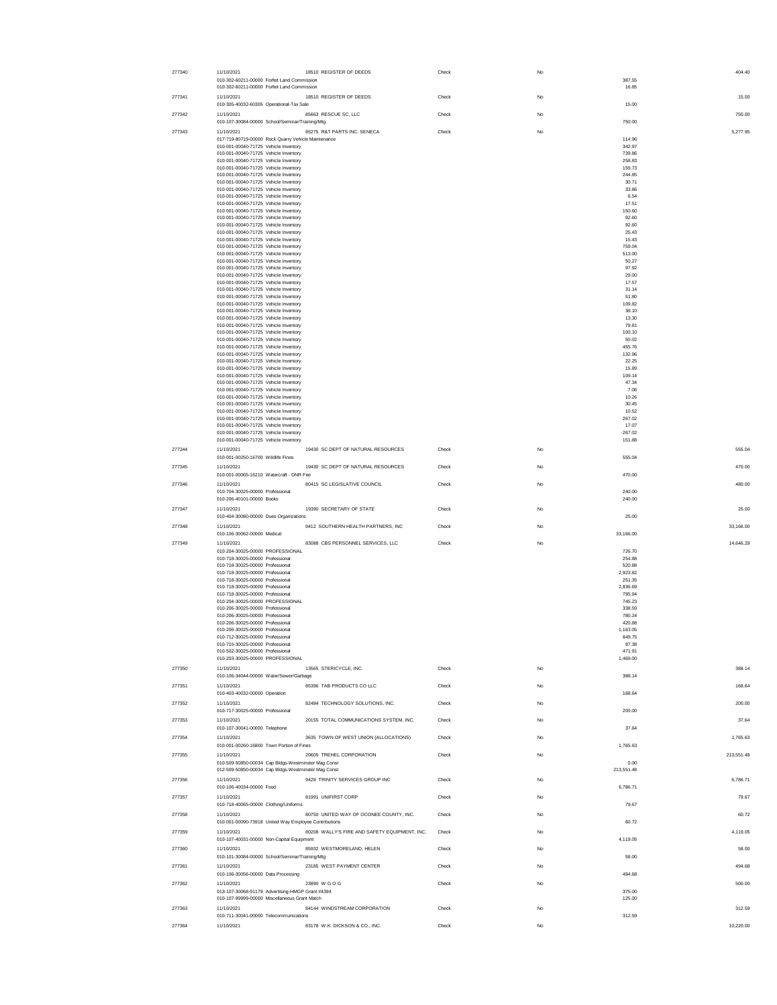| 277340 | 11/10/2021<br>010-302-60211-00000 Forfeit Land Commission                                    | 18510 REGISTER OF DEEDS                       | Check | No | 404.40<br>387.55           |
|--------|----------------------------------------------------------------------------------------------|-----------------------------------------------|-------|----|----------------------------|
| 277341 | 010-302-60211-00000 Forfeit Land Commission<br>11/10/2021                                    | 18510 REGISTER OF DEEDS                       | Check | No | 16.85<br>15.00             |
| 277342 | 010-305-40032-60305 Operational-Tax Sale<br>11/10/2021                                       | 85663 RESCUE SC, LLC                          | Check | No | 15.00<br>750.00            |
| 277343 | 010-107-30084-00000 School/Seminar/Training/Mtg<br>11/10/2021                                | 85275 R&T PARTS INC. SENECA                   | Check | No | 750.00<br>5,277.95         |
|        | 017-719-80719-00000 Rock Quarry Vehicle Maintenance<br>010-001-00040-71725 Vehicle Inventory |                                               |       |    | 114.96<br>342.97           |
|        | 010-001-00040-71725 Vehicle Inventory<br>010-001-00040-71725 Vehicle Inventory               |                                               |       |    | 739.86<br>258.83           |
|        | 010-001-00040-71725 Vehicle Inventory                                                        |                                               |       |    | 159.73                     |
|        | 010-001-00040-71725 Vehicle Inventory<br>010-001-00040-71725 Vehicle Inventory               |                                               |       |    | 244.85<br>30.71            |
|        | 010-001-00040-71725 Vehicle Inventory<br>010-001-00040-71725 Vehicle Inventory               |                                               |       |    | 33.86<br>6.54              |
|        | 010-001-00040-71725 Vehicle Inventory                                                        |                                               |       |    | 17.51                      |
|        | 010-001-00040-71725 Vehicle Inventory<br>010-001-00040-71725 Vehicle Inventory               |                                               |       |    | 150.60<br>92.60            |
|        | 010-001-00040-71725 Vehicle Inventory                                                        |                                               |       |    | 92.60                      |
|        | 010-001-00040-71725 Vehicle Inventory<br>010-001-00040-71725 Vehicle Inventory               |                                               |       |    | 25.43<br>15.43             |
|        | 010-001-00040-71725 Vehicle Inventory                                                        |                                               |       |    | 759.04                     |
|        | 010-001-00040-71725 Vehicle Inventory<br>010-001-00040-71725 Vehicle Inventory               |                                               |       |    | 513.00<br>50.27            |
|        | 010-001-00040-71725 Vehicle Inventory<br>010-001-00040-71725 Vehicle Inventory               |                                               |       |    | 97.92<br>29.00             |
|        | 010-001-00040-71725 Vehicle Inventory                                                        |                                               |       |    | 17.57                      |
|        | 010-001-00040-71725 Vehicle Inventory<br>010-001-00040-71725 Vehicle Inventory               |                                               |       |    | 31.14<br>51.80             |
|        | 010-001-00040-71725 Vehicle Inventory                                                        |                                               |       |    | 109.82                     |
|        | 010-001-00040-71725 Vehicle Inventory<br>010-001-00040-71725 Vehicle Inventory               |                                               |       |    | 38.10<br>13.30             |
|        | 010-001-00040-71725 Vehicle Inventory                                                        |                                               |       |    | 79.81                      |
|        | 010-001-00040-71725 Vehicle Inventory<br>010-001-00040-71725 Vehicle Inventory               |                                               |       |    | 100.10<br>50.02            |
|        | 010-001-00040-71725 Vehicle Inventory<br>010-001-00040-71725 Vehicle Inventory               |                                               |       |    | 455.76<br>132.96           |
|        | 010-001-00040-71725 Vehicle Inventory                                                        |                                               |       |    | 22.25                      |
|        | 010-001-00040-71725 Vehicle Inventory<br>010-001-00040-71725 Vehicle Inventory               |                                               |       |    | 15.89<br>109.14            |
|        | 010-001-00040-71725 Vehicle Inventory                                                        |                                               |       |    | 47.34                      |
|        | 010-001-00040-71725 Vehicle Inventory<br>010-001-00040-71725 Vehicle Inventory               |                                               |       |    | 7.06<br>10.26              |
|        | 010-001-00040-71725 Vehicle Inventory                                                        |                                               |       |    | 30.45                      |
|        | 010-001-00040-71725 Vehicle Inventory<br>010-001-00040-71725 Vehicle Inventory               |                                               |       |    | 10.52<br>267.02            |
|        | 010-001-00040-71725 Vehicle Inventory                                                        |                                               |       |    | 17.07                      |
|        | 010-001-00040-71725 Vehicle Inventory<br>010-001-00040-71725 Vehicle Inventory               |                                               |       |    | $-267.02$<br>151.88        |
| 277344 | 11/10/2021                                                                                   | 19430 SC DEPT OF NATURAL RESOURCES            | Check | No | 555.04                     |
|        | 010-001-00250-16700 Wildlife Fines                                                           |                                               |       |    | 555.04                     |
| 277345 | 11/10/2021<br>010-001-00065-16210 Watercraft - DNR Fee                                       | 19430 SC DEPT OF NATURAL RESOURCES            | Check | No | 470.00<br>470.00           |
| 277346 | 11/10/2021<br>010-704-30025-00000 Professional<br>010-206-40101-00000 Books                  | 80415 SC LEGISLATIVE COUNCIL                  | Check | No | 480.00<br>240.00<br>240.00 |
| 277347 | 11/10/2021                                                                                   | 19390 SECRETARY OF STATE                      | Check | No | 25.00                      |
| 277348 | 010-404-30080-00000 Dues Organizations<br>11/10/2021                                         | 9412 SOUTHERN HEALTH PARTNERS, INC            | Check | No | 25.00<br>33,166.00         |
|        | 010-106-30062-00000 Medical                                                                  |                                               |       |    | 33,166.00                  |
| 277349 | 11/10/2021<br>010-204-30025-00000 PROFESSIONAL                                               | 83088 CBS PERSONNEL SERVICES, LLC             | Check | No | 14,646.29<br>726.70        |
|        | 010-718-30025-00000 Professional                                                             |                                               |       |    | 254.88                     |
|        | 010-718-30025-00000 Professional<br>010-718-30025-00000 Professional                         |                                               |       |    | 520.88<br>2,923.82         |
|        | 010-718-30025-00000 Professional<br>010-718-30025-00000 Professional                         |                                               |       |    | 251.35                     |
|        | 010-718-30025-00000 Professional                                                             |                                               |       |    | 2,836.69<br>795.94         |
|        | 010-204-30025-00000 PROFESSIONAL<br>010-206-30025-00000 Professional                         |                                               |       |    | 745.23<br>338.59           |
|        | 010-206-30025-00000 Professional                                                             |                                               |       |    | 780.24                     |
|        | 010-206-30025-00000 Professional<br>010-206-30025-00000 Professional                         |                                               |       |    | 420.88<br>1,163.05         |
|        | 010-712-30025-00000 Professional                                                             |                                               |       |    | 849.75                     |
|        | 010-715-30025-00000 Professional<br>010-502-30025-00000 Professional                         |                                               |       |    | 97.38<br>471.91            |
|        | 010-203-30025-00000 PROFESSIONAL                                                             |                                               |       |    | 1,469.00                   |
| 277350 | 11/10/2021<br>010-106-34044-00000 Water/Sewer/Garbage                                        | 13565 STERICYCLE, INC.                        | Check | No | 388.14<br>388.14           |
| 277351 | 11/10/2021                                                                                   | 85396 TAB PRODUCTS CO LLC                     | Check | No | 168.64                     |
| 277352 | 010-403-40032-00000 Operation<br>11/10/2021                                                  | 82484 TECHNOLOGY SOLUTIONS, INC.              | Check | No | 168.64<br>200.00           |
|        | 010-717-30025-00000 Professional                                                             |                                               |       |    | 200.00                     |
| 277353 | 11/10/2021<br>010-107-30041-00000 Telephone                                                  | 20155 TOTAL COMMUNICATIONS SYSTEM, INC.       | Check | No | 37.64<br>37.64             |
| 277354 | 11/10/2021<br>010-001-00260-16800 Town Portion of Fines                                      | 3635 TOWN OF WEST UNION (ALLOCATIONS)         | Check | No | 1,765.63<br>1,765.63       |
| 277355 | 11/10/2021                                                                                   | 20605 TREHEL CORPORATION                      | Check | No | 213,551.48                 |
|        | 010-509-50850-00034 Cap Bldgs-Westminster Mag Const                                          |                                               |       |    | 0.00                       |
| 277356 | 012-509-50850-00034 Cap Bldgs-Westminster Mag Const<br>11/10/2021                            | 9428 TRINITY SERVICES GROUP INC               | Check | No | 213,551.48<br>6.786.71     |
|        | 010-106-40034-00000 Food                                                                     |                                               |       |    | 6.786.71                   |
| 277357 | 11/10/2021<br>010-718-40065-00000 Clothing/Uniforms                                          | 81991 UNIFIRST CORP                           | Check | No | 79.67<br>79.67             |
| 277358 | 11/10/2021                                                                                   | 80750 UNITED WAY OF OCONEE COUNTY, INC.       | Check | No | 60.72                      |
| 277359 | 010-001-00090-73918 United Way Employee Contributions<br>11/10/2021                          | 80208 WALLY'S FIRE AND SAFETY EQUIPMENT, INC. | Check | No | 60.72<br>4,119.05          |
| 277360 | 010-107-40031-00000 Non-Capital Equipment<br>11/10/2021                                      | 85932 WESTMORELAND, HELEN                     | Check | No | 4,119.05<br>58.00          |
| 277361 | 010-101-30084-00000 School/Seminar/Training/Mtg<br>11/10/2021                                | 23185 WEST PAYMENT CENTER                     | Check | No | 58.00<br>494.68            |
|        | 010-106-30056-00000 Data Processing                                                          |                                               |       |    | 494.68                     |
| 277362 | 11/10/2021<br>013-107-30068-91179 Advertising-HMGP Grant #4394                               | 23890 W G O G                                 | Check | No | 500.00<br>375.00           |
| 277363 | 010-107-99999-00000 Miscellaneous Grant Match<br>11/10/2021                                  | 84144 WINDSTREAM CORPORATION                  | Check | No | 125.00<br>312.59           |
|        | 010-711-30041-00000 Telecommunications                                                       |                                               |       |    | 312.59                     |
| 277364 | 11/10/2021                                                                                   | 83178 W.K. DICKSON & CO., INC.                | Check | No | 10,220.00                  |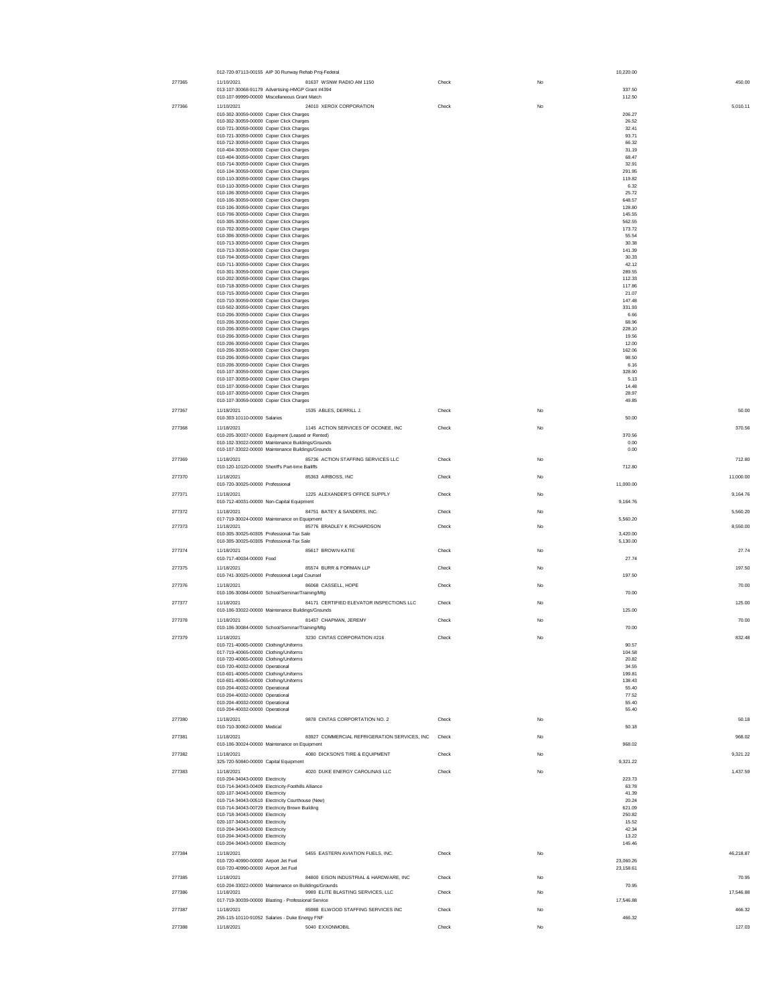|        | 012-720-97113-00155 AIP 30 Runway Rehab Proj-Federal                                                        |       |             | 10,220.00              |
|--------|-------------------------------------------------------------------------------------------------------------|-------|-------------|------------------------|
| 277365 | 81637 WSNW RADIO AM 1150<br>11/10/2021<br>013-107-30068-91179 Advertising-HMGP Grant #4394                  | Check | No          | 450.00<br>337.50       |
|        | 010-107-99999-00000 Miscellaneous Grant Match                                                               |       |             | 112.50                 |
| 277366 | 24010 XEROX CORPORATION<br>11/10/2021                                                                       | Check | No          | 5,010.11               |
|        | 010-302-30059-00000 Copier Click Charges<br>010-302-30059-00000 Copier Click Charges                        |       |             | 206.27<br>26.52        |
|        | 010-721-30059-00000 Copier Click Charges                                                                    |       |             | 32.41                  |
|        | 010-721-30059-00000 Copier Click Charges<br>010-712-30059-00000 Copier Click Charges                        |       |             | 93.71<br>66.32         |
|        | 010-404-30059-00000 Copier Click Charges                                                                    |       |             | 31.19                  |
|        | 010-404-30059-00000 Copier Click Charges<br>010-714-30059-00000 Copier Click Charges                        |       |             | 68.47<br>32.91         |
|        | 010-104-30059-00000 Copier Click Charges<br>010-110-30059-00000 Copier Click Charges                        |       |             | 291.95<br>119.82       |
|        | 010-110-30059-00000 Copier Click Charges                                                                    |       |             | 6.32                   |
|        | 010-106-30059-00000 Copier Click Charges                                                                    |       |             | 25.72<br>648.57        |
|        | 010-106-30059-00000 Copier Click Charges<br>010-106-30059-00000 Copier Click Charges                        |       |             | 128.80                 |
|        | 010-706-30059-00000 Copier Click Charges                                                                    |       |             | 145.55<br>562.55       |
|        | 010-305-30059-00000 Copier Click Charges<br>010-702-30059-00000 Copier Click Charges                        |       |             | 173.72                 |
|        | 010-306-30059-00000 Copier Click Charges<br>010-713-30059-00000 Copier Click Charges                        |       |             | 55.54<br>30.38         |
|        | 010-713-30059-00000 Copier Click Charges                                                                    |       |             | 141.39                 |
|        | 010-704-30059-00000 Copier Click Charges                                                                    |       |             | 30.33<br>42.12         |
|        | 010-711-30059-00000 Copier Click Charges<br>010-301-30059-00000 Copier Click Charges                        |       |             | 289.55                 |
|        | 010-202-30059-00000 Copier Click Charges                                                                    |       |             | 112.33<br>117.86       |
|        | 010-718-30059-00000 Copier Click Charges<br>010-715-30059-00000 Copier Click Charges                        |       |             | 21.07                  |
|        | 010-710-30059-00000 Copier Click Charges<br>010-502-30059-00000 Copier Click Charges                        |       |             | 147.48<br>331.93       |
|        | 010-206-30059-00000 Copier Click Charges                                                                    |       |             | 6.66                   |
|        | 010-206-30059-00000 Copier Click Charges<br>010-206-30059-00000 Copier Click Charges                        |       |             | 68.96<br>228.10        |
|        | 010-206-30059-00000 Copier Click Charges                                                                    |       |             | 19.56                  |
|        | 010-206-30059-00000 Copier Click Charges<br>010-206-30059-00000 Copier Click Charges                        |       |             | 12.00<br>162.06        |
|        | 010-206-30059-00000 Copier Click Charges                                                                    |       |             | 98.50                  |
|        | 010-206-30059-00000 Copier Click Charges<br>010-107-30059-00000 Copier Click Charges                        |       |             | 6.16<br>328.90         |
|        | 010-107-30059-00000 Copier Click Charges                                                                    |       |             | 5.13                   |
|        | 010-107-30059-00000 Copier Click Charges<br>010-107-30059-00000 Copier Click Charges                        |       |             | 14.48<br>28.97         |
|        | 010-107-30059-00000 Copier Click Charges                                                                    |       |             | 49.85                  |
| 277367 | 1535 ABLES, DERRILL J.<br>11/18/2021                                                                        | Check | No          | 50.00                  |
|        | 010-303-10110-00000 Salaries                                                                                |       |             | 50.00                  |
| 277368 | 1145 ACTION SERVICES OF OCONEE, INC<br>11/18/2021<br>010-205-30037-00000 Equipment (Leased or Rented)       | Check | <b>No</b>   | 370.56<br>370.56       |
|        | 010-102-33022-00000 Maintenance Buildings/Grounds                                                           |       |             | 0.00                   |
|        | 010-107-33022-00000 Maintenance Buildings/Grounds                                                           |       |             | 0.00                   |
| 277369 | 11/18/2021<br>85736 ACTION STAFFING SERVICES LLC<br>010-120-10120-00000 Sheriff's Part-time Bailiffs        | Check | No          | 712.80<br>712.80       |
| 277370 | 85363 AIRBOSS, INC<br>11/18/2021                                                                            | Check | $_{\rm No}$ | 11,000.00              |
|        | 010-720-30025-00000 Professional                                                                            |       |             | 11,000.00              |
| 277371 | 1225 ALEXANDER'S OFFICE SUPPLY<br>11/18/2021<br>010-712-40031-00000 Non-Capital Equipment                   | Check | No          | 9,164.76<br>9,164.76   |
| 277372 | 84751 BATEY & SANDERS, INC.<br>11/18/2021                                                                   | Check | <b>No</b>   | 5.560.20               |
|        | 017-719-30024-00000 Maintenance on Equipment                                                                |       |             | 5.560.20               |
| 277373 | 85776 BRADLEY K RICHARDSON<br>11/18/2021<br>010-305-30025-60305 Professional-Tax Sale                       | Check | No          | 8,550.00<br>3,420.00   |
|        | 010-305-30025-60305 Professional-Tax Sale                                                                   |       |             | 5,130.00               |
| 277374 | 11/18/2021<br>85617 BROWN KATIE                                                                             | Check | $_{\rm No}$ | 27.74                  |
|        | 010-717-40034-00000 Food                                                                                    |       |             | 27.74                  |
| 277375 | 85574 BURR & FORMAN LLP<br>11/18/2021<br>010-741-30025-00000 Professional Legal Counsel                     | Check | $_{\rm No}$ | 197.50<br>197.50       |
| 277376 | 86068 CASSELL, HOPE<br>11/18/2021                                                                           | Check | $_{\rm No}$ | 70.00                  |
|        | 010-106-30084-00000 School/Seminar/Training/Mtg                                                             |       |             | 70.00                  |
| 277377 | 84171 CERTIFIED ELEVATOR INSPECTIONS LLC<br>11/18/2021<br>010-106-33022-00000 Maintenance Buildings/Grounds | Check | No          | 125.00<br>125.00       |
| 277378 | 81457 CHAPMAN, JEREMY<br>11/18/2021                                                                         | Check | No          | 70.00                  |
|        | 010-106-30084-00000 School/Seminar/Training/Mtg                                                             |       |             | 70.00                  |
| 277379 | 11/18/2021<br>3230 CINTAS CORPORATION #216                                                                  | Check |             | 832.48                 |
|        | 010-721-40065-00000 Clothing/Uniforms<br>017-719-40065-00000 Clothing/Uniforms                              |       |             | 90.57<br>104.58        |
|        | 010-720-40065-00000 Clothing/Uniforms                                                                       |       |             | 20.82                  |
|        | 010-720-40032-00000 Operational<br>010-601-40065-00000 Clothing/Uniforms                                    |       |             | 34.55<br>199.81        |
|        | 010-601-40065-00000 Clothing/Uniforms                                                                       |       |             | 138.43                 |
|        | 010-204-40032-00000 Operational<br>010-204-40032-00000 Operational                                          |       |             | 55.40<br>77.52         |
|        | 010-204-40032-00000 Operational                                                                             |       |             | 55.40<br>55.40         |
| 277380 | 010-204-40032-00000 Operational<br>9878 CINTAS CORPORTATION NO. 2<br>11/18/2021                             | Check | No          | 50.18                  |
|        | 010-710-30062-00000 Medical                                                                                 |       |             | 50.18                  |
| 277381 | 83927 COMMERCIAL REFRIGERATION SERVICES, INC<br>11/18/2021                                                  | Check | No          | 968.02                 |
|        | 010-106-30024-00000 Maintenance on Equipment                                                                |       |             | 968.02                 |
| 277382 | 4080 DICKSON'S TIRE & EQUIPMENT<br>11/18/2021<br>325-720-50840-00000 Capital Equipment                      | Check | No          | 9,321.22<br>9,321.22   |
| 277383 | 11/18/2021<br>4020 DUKE ENERGY CAROLINAS LLC                                                                | Check | No          | 1,437.59               |
|        | 010-204-34043-00000 Electricity                                                                             |       |             | 223.73                 |
|        | 010-714-34043-00409 Electricity-Foothills Alliance<br>020-107-34043-00000 Electricity                       |       |             | 63.78<br>41.39         |
|        | 010-714-34043-00510 Electricity Courthouse (New)                                                            |       |             | 20.24                  |
|        | 010-714-34043-00729 Electricity Brown Building<br>010-718-34043-00000 Electricity                           |       |             | 621.09<br>250.82       |
|        | 020-107-34043-00000 Electricity                                                                             |       |             | 15.52                  |
|        | 010-204-34043-00000 Electricity<br>010-204-34043-00000 Electricity                                          |       |             | 42.34<br>13.22         |
|        | 010-204-34043-00000 Electricity                                                                             |       |             | 145.46                 |
| 277384 | 5455 EASTERN AVIATION FUELS, INC.<br>11/18/2021<br>010-720-40990-00000 Airport Jet Fuel                     | Check | No          | 46,218.87<br>23,060.26 |
|        | 010-720-40990-00000 Airport Jet Fuel                                                                        |       |             | 23,158.61              |
| 277385 | 11/18/2021<br>84800 EISON INDUSTRIAL & HARDWARE, INC                                                        | Check | No          | 70.95                  |
| 277386 | 010-204-33022-00000 Maintenance on Buildings/Grounds<br>9989 ELITE BLASTING SERVICES, LLC<br>11/18/2021     | Check | No          | 70.95<br>17,546.88     |
|        | 017-719-30039-00000 Blasting - Professional Service                                                         |       |             | 17,546.88              |
| 277387 | 85988 ELWOOD STAFFING SERVICES INC<br>11/18/2021                                                            | Check | No          | 466.32                 |
|        | 255-115-10110-91052 Salaries - Duke Energy FNF                                                              |       |             | 466.32                 |
| 277388 | 5040 EXXONMOBIL<br>11/18/2021                                                                               | Check | No          | 127.03                 |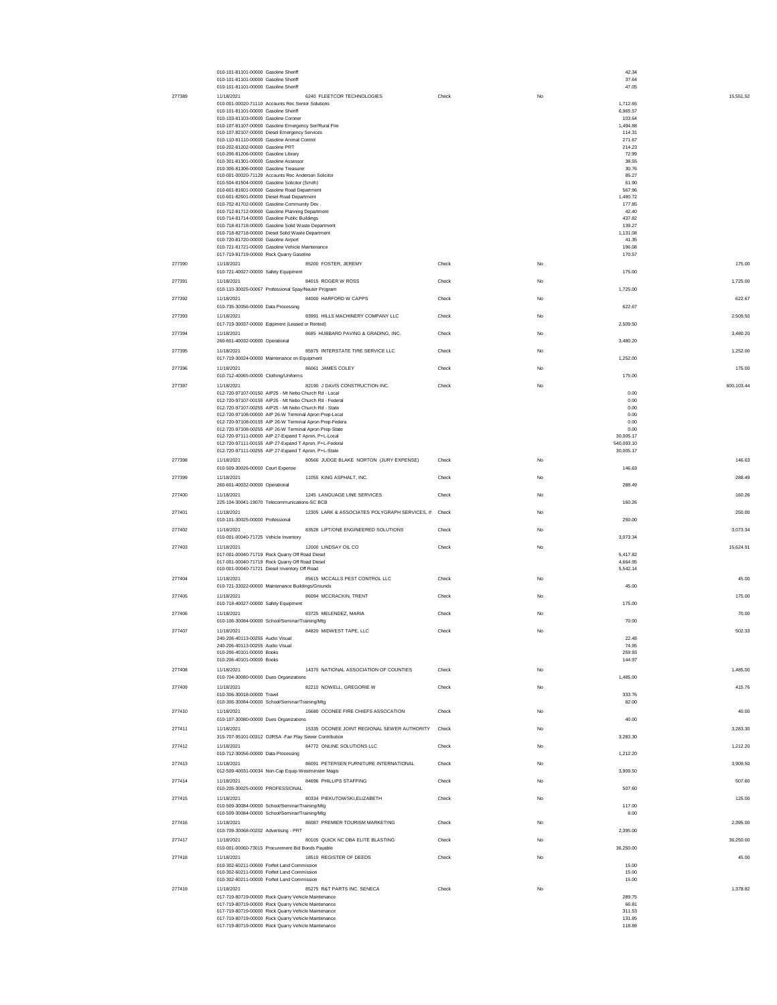|        | 010-101-81101-00000 Gasoline Sheriff<br>010-101-81101-00000 Gasoline Sheriff                                    |                                                |       |    | 42.34<br>37.64          |            |
|--------|-----------------------------------------------------------------------------------------------------------------|------------------------------------------------|-------|----|-------------------------|------------|
|        | 010-101-81101-00000 Gasoline Sheriff                                                                            |                                                |       |    | 47.05                   |            |
| 277389 | 11/18/2021                                                                                                      | 6240 FLEETCOR TECHNOLOGIES                     | Check | No |                         | 15,551.52  |
|        | 010-001-00020-71110 Accounts Rec Senior Solutions                                                               |                                                |       |    | 1,712.65                |            |
|        | 010-101-81101-00000 Gasoline Sheriff<br>010-103-81103-00000 Gasoline Coroner                                    |                                                |       |    | 6.965.57<br>103.64      |            |
|        | 010-107-81107-00000 Gasoline Emergency Ser/Rural Fire                                                           |                                                |       |    | 1.494.88                |            |
|        | 010-107-82107-00000 Diesel Emergency Services                                                                   |                                                |       |    | 114.31                  |            |
|        | 010-110-81110-00000 Gasoline Animal Control<br>010-202-81202-00000 Gasoline PRT                                 |                                                |       |    | 271.67<br>214.23        |            |
|        | 010-206-81206-00000 Gasoline Library                                                                            |                                                |       |    | 72.99                   |            |
|        | 010-301-81301-00000 Gasoline Assessor                                                                           |                                                |       |    | 38.55                   |            |
|        | 010-306-81306-00000 Gasoline Treasurer<br>010-001-00020-71129 Accounts Rec Anderson Solicitor                   |                                                |       |    | 30.76<br>85.27          |            |
|        | 010-504-81504-00000 Gasoline Solicitor (Smith)                                                                  |                                                |       |    | 61.90                   |            |
|        | 010-601-81601-00000 Gasoline Road Department<br>010-601-82601-00000 Diesel Road Department                      |                                                |       |    | 567.96                  |            |
|        | 010-702-81702-00000 Gasoline-Community Dev                                                                      |                                                |       |    | 1,480.72<br>177.85      |            |
|        | 010-712-81712-00000 Gasoline Planning Department                                                                |                                                |       |    | 42.40                   |            |
|        | 010-714-81714-00000 Gasoline Public Buildings<br>010-718-81718-00000 Gasoline Solid Waste Department            |                                                |       |    | 437.82<br>139.27        |            |
|        | 010-718-82718-00000 Diesel Solid Waste Department                                                               |                                                |       |    | 1,131.08                |            |
|        | 010-720-81720-00000 Gasoline Airport                                                                            |                                                |       |    | 41.35                   |            |
|        | 010-721-81721-00000 Gasoline Vehicle Maintenance<br>017-719-81719-00000 Rock Quarry Gasoline                    |                                                |       |    | 196.08<br>170.57        |            |
| 277390 | 11/18/2021                                                                                                      | 85200 FOSTER, JEREMY                           | Check | No |                         | 175.00     |
|        | 010-721-40027-00000 Safety Equipment                                                                            |                                                |       |    | 175.00                  |            |
| 277391 | 11/18/2021                                                                                                      | 84015 ROGER W ROSS                             | Check | No |                         | 1,725.00   |
|        | 010-110-30025-00067 Professional Spay/Neuter Program                                                            |                                                |       |    | 1,725.00                |            |
| 277392 | 11/18/2021                                                                                                      | 84000 HARFORD W CAPPS                          | Check | No |                         | 622.67     |
|        | 010-735-30056-00000 Data Processing                                                                             |                                                |       |    | 622.67                  |            |
| 277393 | 11/18/2021                                                                                                      | 83991 HILLS MACHINERY COMPANY LLC              | Check | No |                         | 2.509.50   |
|        | 017-719-30037-00000 Eqipment (Leased or Rented)                                                                 |                                                |       |    | 2.509.50                |            |
| 277394 | 11/18/2021                                                                                                      | 8685 HUBBARD PAVING & GRADING, INC.            | Check | No |                         | 3.480.20   |
|        | 260-601-40032-00000 Operational                                                                                 |                                                |       |    | 3,480.20                |            |
| 277395 | 11/18/2021<br>017-719-30024-00000 Maintenance on Equipment                                                      | 85975 INTERSTATE TIRE SERVICE LLC              | Check | No | 1,252.00                | 1,252.00   |
| 277396 | 11/18/2021                                                                                                      | 86061 JAMES COLEY                              | Check | No |                         | 175.00     |
|        | 010-712-40065-00000 Clothing/Uniforms                                                                           |                                                |       |    | 175.00                  |            |
| 277397 | 11/18/2021                                                                                                      | 82190 J DAVIS CONSTRUCTION INC.                | Check | No |                         | 600,103.44 |
|        | 012-720-97107-00150 AIP25 - Mt Nebo Church Rd - Local                                                           |                                                |       |    | 0.00                    |            |
|        | 012-720-97107-00155 AIP25 - Mt Nebo Church Rd - Federal                                                         |                                                |       |    | 0.00                    |            |
|        | 012-720-97107-00255 AIP25 - Mt Nebo Church Rd - State<br>012-720-97108-00000 AIP 26-W Terminal Apron Prep-Local |                                                |       |    | 0.00<br>0.00            |            |
|        | 012-720-97108-00155 AIP 26-W Terminal Apron Prep-Federa                                                         |                                                |       |    | 0.00                    |            |
|        | 012-720-97108-00255 AIP 26-W Terminal Apron Prep-State                                                          |                                                |       |    | 0.00                    |            |
|        | 012-720-97111-00000 AIP 27-Expand T Apron, P+L-Local                                                            |                                                |       |    | 30.005.17               |            |
|        | 012-720-97111-00155 AIP 27-Expand T Apron, P+L-Federal<br>012-720-97111-00255 AIP 27-Expand T Apron, P+L-State  |                                                |       |    | 540,093.10<br>30,005.17 |            |
| 277398 | 11/18/2021                                                                                                      | 80566 JUDGE BLAKE NORTON (JURY EXPENSE)        | Check | No |                         | 146.63     |
|        | 010-509-30026-00000 Court Expense                                                                               |                                                |       |    | 146.63                  |            |
| 277399 | 11/18/2021                                                                                                      | 11055 KING ASPHALT, INC.                       | Check | No |                         | 288.49     |
|        | 260-601-40032-00000 Operational                                                                                 |                                                |       |    | 288.49                  |            |
| 277400 | 11/18/2021                                                                                                      | 1245 LANGUAGE LINE SERVICES                    | Check | No |                         | 160.26     |
|        | 225-104-30041-19070 Telecommunications-SC BCB                                                                   |                                                |       |    | 160.26                  |            |
| 277401 | 11/18/2021                                                                                                      | 12305 LARK & ASSOCIATES POLYGRAPH SERVICES, II | Check | No |                         | 250.00     |
|        | 010-101-30025-00000 Professional                                                                                |                                                |       |    | 250.00                  |            |
| 277402 | 11/18/2021                                                                                                      | 83528 LIFT/ONE ENGINEERED SOLUTIONS            | Check | No |                         | 3,073.34   |
|        | 010-001-00040-71725 Vehicle Inventory                                                                           |                                                |       |    | 3,073.34                |            |
| 277403 | 11/18/2021<br>017-001-00040-71719 Rock Quarry Off Road Diesel                                                   | 12000 LINDSAY OIL CO                           | Check | No | 5,417.82                | 15.624.91  |
|        | 017-001-00040-71719 Rock Quarry Off Road Diesel                                                                 |                                                |       |    | 4.664.95                |            |
|        | 010-001-00040-71721 Diesel Inventory Off Road                                                                   |                                                |       |    | 5.542.14                |            |
| 277404 | 11/18/2021                                                                                                      | 85615 MCCALLS PEST CONTROL LLC                 | Check | No |                         | 45.00      |
|        | 010-721-33022-00000 Maintenance Buildings/Grounds                                                               |                                                |       |    | 45.00                   |            |
| 277405 | 11/18/2021                                                                                                      | 86094 MCCRACKIN TRENT                          | Check | No |                         | 175.00     |
|        | 010-718-40027-00000 Safety Equipment                                                                            |                                                |       |    | 175.00                  |            |
| 277406 | 11/18/2021                                                                                                      | 83725 MELENDEZ, MARIA                          | Check | No |                         | 70.00      |
| 277407 | 010-106-30084-00000 School/Seminar/Training/Mtg<br>11/18/2021                                                   | 84820 MIDWEST TAPE, LLC                        | Check | No | 70.00                   | 502.33     |
|        | 240-206-40113-00255 Audio Visual                                                                                |                                                |       |    | 22.48                   |            |
|        | 240-206-40113-00255 Audio Visual                                                                                |                                                |       |    | 74.95                   |            |
|        | 010-206-40101-00000 Books                                                                                       |                                                |       |    | 259.93                  |            |
|        | 010-206-40101-00000 Books                                                                                       |                                                |       |    | 144.97                  |            |
| 277408 | 11/18/2021<br>010-704-30080-00000 Dues Organizations                                                            | 14370 NATIONAL ASSOCIATION OF COUNTIES         | Check | No | 1,485.00                | 1,485.00   |
| 277409 | 11/18/2021                                                                                                      | 82210 NOWELL, GREGORIE W                       | Check |    |                         | 415.76     |
|        | 010-306-30018-00000 Travel                                                                                      |                                                |       | No | 333.76                  |            |
|        | 010-306-30084-00000 School/Seminar/Training/Mtg                                                                 |                                                |       |    | 82.00                   |            |
| 277410 | 11/18/2021                                                                                                      | 15680 OCONEE FIRE CHIEFS ASSOCATION            | Check | No |                         | 40.00      |
|        | 010-107-30080-00000 Dues Organizations                                                                          |                                                |       |    | 40.00                   |            |
| 277411 | 11/18/2021                                                                                                      | 15335 OCONEE JOINT REGIONAL SEWER AUTHORITY    | Check | No |                         | 3.283.30   |
|        | 315-707-95101-00312 OJRSA -Fair Play Sewer Contribution                                                         |                                                |       |    | 3.283.30                |            |
| 277412 | 11/18/2021                                                                                                      | 84772 ONLINE SOLUTIONS LLC                     | Check | No |                         | 1.212.20   |
|        | 010-712-30056-00000 Data Processing<br>11/18/2021                                                               |                                                |       | No | 1,212.20                | 3.909.50   |
| 277413 | 012-509-40031-00034 Non-Cap Equip-Westminster Magis                                                             | 86091 PETERSEN FURNITURE INTERNATIONAL         | Check |    | 3.909.50                |            |
| 277414 | 11/18/2021                                                                                                      | 84696 PHILLIPS STAFFING                        | Check | No |                         | 507.60     |
|        | 010-205-30025-00000 PROFESSIONAL                                                                                |                                                |       |    | 507.60                  |            |
| 277415 | 11/18/2021                                                                                                      | 80334 PIEKUTOWSKI, ELIZABETH                   | Check | No |                         | 125.00     |
|        | 010-509-30084-00000 School/Seminar/Training/Mtg                                                                 |                                                |       |    | 117.00                  |            |
|        | 010-509-30084-00000 School/Seminar/Training/Mtg                                                                 |                                                |       |    | 8.00                    |            |
| 277416 | 11/18/2021                                                                                                      | 86087 PREMIER TOURISM MARKETING                | Check | No |                         | 2.395.00   |
|        | 010-709-30068-00202 Advertising - PRT                                                                           |                                                |       |    | 2,395.00                |            |
| 277417 | 11/18/2021<br>010-001-00060-73015 Procurement Bid Bonds Payable                                                 | 80105 QUICK NC DBA ELITE BLASTING              | Check | No | 36,250.00               | 36,250.00  |
| 277418 | 11/18/2021                                                                                                      | 18510 REGISTER OF DEEDS                        | Check | No |                         | 45.00      |
|        | 010-302-60211-00000 Forfeit Land Commission                                                                     |                                                |       |    | 15.00                   |            |
|        | 010-302-60211-00000 Forfeit Land Commission                                                                     |                                                |       |    | 15.00                   |            |
|        | 010-302-60211-00000 Forfeit Land Commission                                                                     |                                                |       |    | 15.00                   |            |
| 277419 | 11/18/2021                                                                                                      | 85275 R&T PARTS INC. SENECA                    | Check | No |                         | 1.378.82   |
|        | 017-719-80719-00000 Rock Quarry Vehicle Maintenance<br>017-719-80719-00000 Rock Quarry Vehicle Maintenance      |                                                |       |    | 289.75<br>66.81         |            |
|        | 017-719-80719-00000 Rock Quarry Vehicle Maintenance                                                             |                                                |       |    | 311.53                  |            |
|        | 017-719-80719-00000 Rock Quarry Vehicle Maintenance                                                             |                                                |       |    | 131.85                  |            |
|        | 017-719-80719-00000 Rock Quarry Vehicle Maintenance                                                             |                                                |       |    | 118.89                  |            |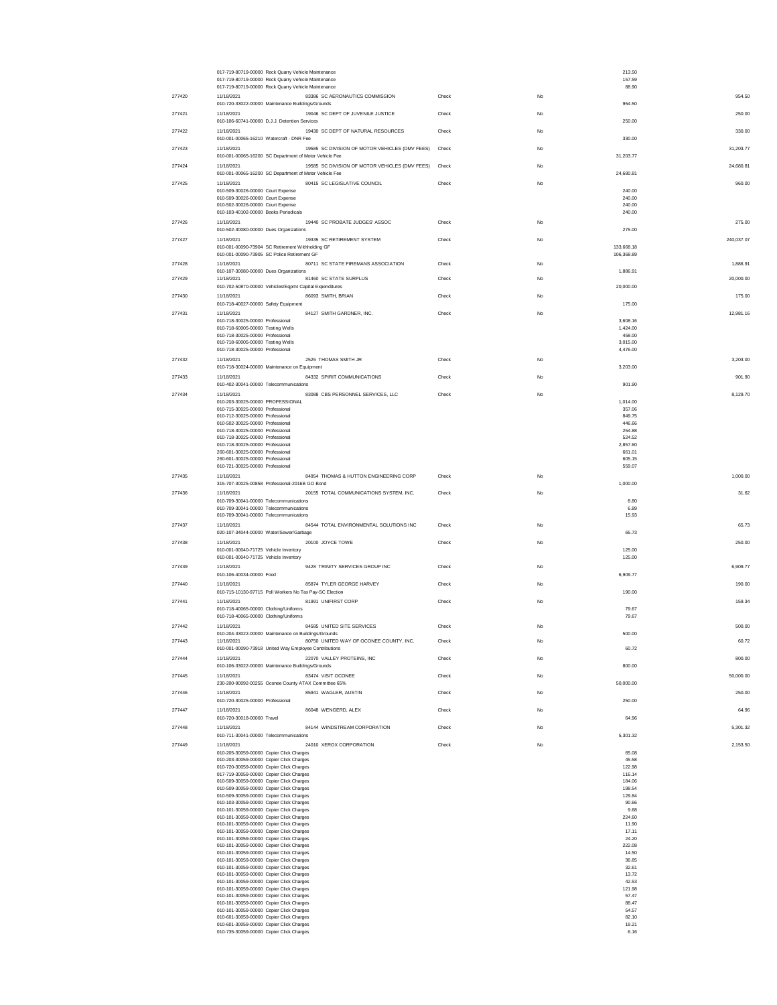|        | 017-719-80719-00000 Rock Quarry Vehicle Maintenance<br>017-719-80719-00000 Rock Quarry Vehicle Maintenance |                                                      |       |             | 213.50<br>157.59   |            |
|--------|------------------------------------------------------------------------------------------------------------|------------------------------------------------------|-------|-------------|--------------------|------------|
|        | 017-719-80719-00000 Rock Quarry Vehicle Maintenance                                                        |                                                      |       |             | 88.90              |            |
| 277420 | 11/18/2021                                                                                                 | 83386 SC AERONAUTICS COMMISSION                      | Check | No          |                    | 954.50     |
| 277421 | 010-720-33022-00000 Maintenance Buildings/Grounds<br>11/18/2021                                            | 19046 SC DEPT OF JUVENILE JUSTICE                    | Check | No          | 954.50             | 250.00     |
|        | 010-106-60741-00000 D.J.J. Detention Services                                                              |                                                      |       |             | 250.00             |            |
| 277422 | 11/18/2021<br>010-001-00065-16210 Watercraft - DNR Fee                                                     | 19430 SC DEPT OF NATURAL RESOURCES                   | Check | No          | 330.00             | 330.00     |
| 277423 | 11/18/2021                                                                                                 | 19585 SC DIVISION OF MOTOR VEHICLES (DMV FEES)       | Check | No          |                    | 31,203.77  |
| 277424 | 010-001-00065-16200 SC Department of Motor Vehicle Fee<br>11/18/2021                                       | 19585 SC DIVISION OF MOTOR VEHICLES (DMV FEES) Check |       | No          | 31,203.77          | 24,680.81  |
|        | 010-001-00065-16200 SC Department of Motor Vehicle Fee                                                     |                                                      |       |             | 24,680.81          |            |
| 277425 | 11/18/2021                                                                                                 | 80415 SC LEGISLATIVE COUNCIL                         | Check | No          |                    | 960.00     |
|        | 010-509-30026-00000 Court Expense<br>010-509-30026-00000 Court Expense                                     |                                                      |       |             | 240.00<br>240.00   |            |
|        | 010-502-30026-00000 Court Expense<br>010-103-40102-00000 Books Periodicals                                 |                                                      |       |             | 240.00<br>240.00   |            |
| 277426 | 11/18/2021                                                                                                 | 19440 SC PROBATE JUDGES' ASSOC                       | Check | No          |                    | 275.00     |
|        | 010-502-30080-00000 Dues Organizations                                                                     |                                                      |       |             | 275.00             |            |
| 277427 | 11/18/2021<br>010-001-00090-73904 SC Retirement Withholding GF                                             | 19335 SC RETIREMENT SYSTEM                           | Check | No          | 133,668.18         | 240,037.07 |
|        | 010-001-00090-73905 SC Police Retirement GF                                                                |                                                      |       |             | 106,368.89         |            |
| 277428 | 11/18/2021<br>010-107-30080-00000 Dues Organizations                                                       | 80711 SC STATE FIREMANS ASSOCIATION                  | Check | No          | 1,886.91           | 1.886.91   |
| 277429 | 11/18/2021<br>010-702-50870-00000 Vehicles/Eqpmt Capital Expenditures                                      | 81460 SC STATE SURPLUS                               | Check | No          | 20,000.00          | 20,000.00  |
| 277430 | 11/18/2021                                                                                                 | 86093 SMITH, BRIAN                                   | Check | No          |                    | 175.00     |
|        | 010-718-40027-00000 Safety Equipment                                                                       |                                                      |       |             | 175.00             |            |
| 277431 | 11/18/2021<br>010-718-30025-00000 Professional                                                             | 84127 SMITH GARDNER, INC.                            | Check | No          | 3,608.16           | 12,981.16  |
|        | 010-718-60005-00000 Testing Wells<br>010-718-30025-00000 Professional                                      |                                                      |       |             | 1,424.00<br>458.00 |            |
|        | 010-718-60005-00000 Testing Wells                                                                          |                                                      |       |             | 3,015.00           |            |
| 277432 | 010-718-30025-00000 Professional<br>11/18/2021                                                             | 2525 THOMAS SMITH JR                                 | Check | No          | 4,476.00           | 3,203.00   |
|        | 010-718-30024-00000 Maintenance on Equipment                                                               |                                                      |       |             | 3,203.00           |            |
| 277433 | 11/18/2021<br>010-402-30041-00000 Telecommunications                                                       | 84332 SPIRIT COMMUNICATIONS                          | Check | No          | 901.90             | 901.90     |
| 277434 | 11/18/2021                                                                                                 | 83088 CBS PERSONNEL SERVICES, LLC                    | Check | No          |                    | 8,129.70   |
|        | 010-203-30025-00000 PROFESSIONAL                                                                           |                                                      |       |             | 1,014.00           |            |
|        | 010-715-30025-00000 Professional<br>010-712-30025-00000 Professional                                       |                                                      |       |             | 357.06<br>849.75   |            |
|        | 010-502-30025-00000 Professional<br>010-718-30025-00000 Professional                                       |                                                      |       |             | 446.66<br>254.88   |            |
|        | 010-718-30025-00000 Professional                                                                           |                                                      |       |             | 524.52             |            |
|        | 010-718-30025-00000 Professional<br>260-601-30025-00000 Professional                                       |                                                      |       |             | 2,857.60<br>661.01 |            |
|        | 260-601-30025-00000 Professional<br>010-721-30025-00000 Professional                                       |                                                      |       |             | 605.15<br>559.07   |            |
| 277435 | 11/18/2021                                                                                                 | 84954 THOMAS & HUTTON ENGINEERING CORP               | Check | $_{\rm No}$ |                    | 1,000.00   |
|        | 315-707-30025-00858 Professional-2016B GO Bond                                                             |                                                      |       |             | 1,000.00           |            |
| 277436 | 11/18/2021<br>010-709-30041-00000 Telecommunications                                                       | 20155 TOTAL COMMUNICATIONS SYSTEM, INC.              | Check | No          | 8.80               | 31.62      |
|        | 010-709-30041-00000 Telecommunications                                                                     |                                                      |       |             | 6.89               |            |
| 277437 | 010-709-30041-00000 Telecommunications<br>11/18/2021                                                       | 84544 TOTAL ENVIRONMENTAL SOLUTIONS INC              | Check | No          | 15.93              | 65.73      |
|        | 020-107-34044-00000 Water/Sewer/Garbage                                                                    |                                                      |       |             | 65.73              |            |
| 277438 | 11/18/2021<br>010-001-00040-71725 Vehicle Inventory                                                        | 20100 JOYCE TOWE                                     | Check | No          | 125.00             | 250.00     |
|        | 010-001-00040-71725 Vehicle Inventory                                                                      |                                                      |       |             | 125.00             |            |
| 277439 | 11/18/2021<br>010-106-40034-00000 Food                                                                     | 9428 TRINITY SERVICES GROUP INC                      | Check | No          | 6,909.77           | 6,909.77   |
| 277440 | 11/18/2021                                                                                                 | 85874 TYLER GEORGE HARVEY                            | Check | No          |                    | 190.00     |
|        | 010-715-10130-97715 Poll Workers No Tax Pay-SC Election                                                    | 81991 UNIFIRST CORP                                  |       | No          | 190.00             |            |
| 277441 | 11/18/2021<br>010-718-40065-00000 Clothing/Uniforms                                                        |                                                      | Check |             | 79.67              | 159.34     |
|        | 010-718-40065-00000 Clothing/Uniforms                                                                      |                                                      |       |             | 79.67              |            |
| 277442 | 11/18/2021<br>010-204-33022-00000 Maintenance on Buildings/Grounds                                         | 84585 UNITED SITE SERVICES                           | Check | No          | 500.00             | 500.00     |
| 277443 | 11/18/2021<br>010-001-00090-73918 United Way Employee Contributions                                        | 80750 UNITED WAY OF OCONEE COUNTY, INC.              | Check |             | 60.72              | 60.72      |
| 277444 | 11/18/2021                                                                                                 | 22070 VALLEY PROTEINS, INC                           | Check | No          |                    | 800.00     |
|        | 010-106-33022-00000 Maintenance Buildings/Grounds                                                          |                                                      |       |             | 800.00             |            |
| 277445 | 11/18/2021<br>230-200-90092-00255 Oconee County ATAX Committee 65%                                         | 83474 VISIT OCONEE                                   | Check | $_{\rm No}$ | 50,000.00          | 50,000.00  |
| 277446 | 11/18/2021                                                                                                 | 85941 WAGLER, AUSTIN                                 | Check | $_{\rm No}$ |                    | 250.00     |
| 277447 | 010-720-30025-00000 Professional<br>11/18/2021                                                             | 86048 WENGERD, ALEX                                  | Check | <b>No</b>   | 250.00             | 64.96      |
|        | 010-720-30018-00000 Travel                                                                                 |                                                      |       |             | 64.96              |            |
| 277448 | 11/18/2021<br>010-711-30041-00000 Telecommunications                                                       | 84144 WINDSTREAM CORPORATION                         | Check | <b>No</b>   | 5.301.32           | 5.301.32   |
| 277449 | 11/18/2021                                                                                                 | 24010 XEROX CORPORATION                              | Check | No          |                    | 2,153.50   |
|        | 010-205-30059-00000 Copier Click Charges                                                                   |                                                      |       |             | 65.08              |            |
|        | 010-203-30059-00000 Copier Click Charges<br>010-720-30059-00000 Copier Click Charges                       |                                                      |       |             | 45.58<br>122.98    |            |
|        | 017-719-30059-00000 Copier Click Charges<br>010-509-30059-00000 Copier Click Charges                       |                                                      |       |             | 116.14<br>184.06   |            |
|        | 010-509-30059-00000 Copier Click Charges                                                                   |                                                      |       |             | 198.54             |            |
|        | 010-509-30059-00000 Copier Click Charges<br>010-103-30059-00000 Copier Click Charges                       |                                                      |       |             | 129.84<br>90.66    |            |
|        | 010-101-30059-00000 Copier Click Charges<br>010-101-30059-00000 Copier Click Charges                       |                                                      |       |             | 9.68<br>224.60     |            |
|        | 010-101-30059-00000 Copier Click Charges                                                                   |                                                      |       |             | 11.90              |            |
|        | 010-101-30059-00000 Copier Click Charges<br>010-101-30059-00000 Copier Click Charges                       |                                                      |       |             | 17.11<br>24.20     |            |
|        | 010-101-30059-00000 Copier Click Charges                                                                   |                                                      |       |             | 222.08             |            |
|        | 010-101-30059-00000 Copier Click Charges<br>010-101-30059-00000 Copier Click Charges                       |                                                      |       |             | 14.50<br>36.85     |            |
|        | 010-101-30059-00000 Copier Click Charges<br>010-101-30059-00000 Copier Click Charges                       |                                                      |       |             | 32.61<br>13.72     |            |
|        | 010-101-30059-00000 Copier Click Charges                                                                   |                                                      |       |             | 42.53              |            |
|        | 010-101-30059-00000 Copier Click Charges<br>010-101-30059-00000 Copier Click Charges                       |                                                      |       |             | 121.98<br>57.47    |            |
|        | 010-101-30059-00000 Copier Click Charges                                                                   |                                                      |       |             | 88.47              |            |
|        | 010-101-30059-00000 Copier Click Charges<br>010-601-30059-00000 Copier Click Charges                       |                                                      |       |             | 54.57<br>82.10     |            |
|        | 010-601-30059-00000 Copier Click Charges<br>010-735-30059-00000 Copier Click Charges                       |                                                      |       |             | 19.21<br>6.16      |            |
|        |                                                                                                            |                                                      |       |             |                    |            |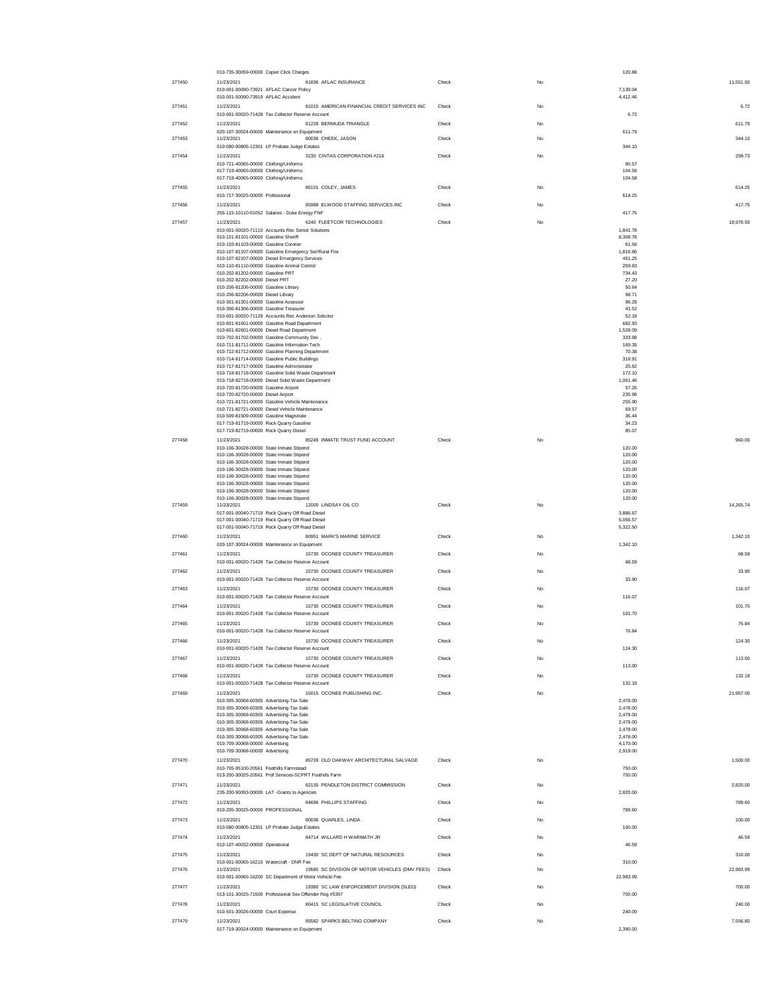|        | 010-735-30059-00000 Copier Click Charges                                                                               |       |             | 120.88               |           |
|--------|------------------------------------------------------------------------------------------------------------------------|-------|-------------|----------------------|-----------|
| 277450 | 81836 AFLAC INSURANCE<br>11/23/2021<br>010-001-00090-73921 AFLAC Cancer Policy<br>010-001-00090-73919 AFLAC Accident   | Check | No          | 7.139.04<br>4,412.46 | 11.551.50 |
| 277451 | 81015 AMERICAN FINANCIAL CREDIT SERVICES INC<br>11/23/2021<br>010-001-00020-71428 Tax Collector Reserve Account        | Check | No          | 6.72                 | 6.72      |
| 277452 | 81228 BERMUDA TRIANGLE<br>11/23/2021                                                                                   | Check | No          |                      | 611.79    |
| 277453 | 020-107-30024-00000 Maintenance on Equipment<br>11/23/2021<br>80036 CHEEK, JASON                                       | Check | No          | 611.79               | 344.10    |
| 277454 | 010-080-00805-12301 LP Probate Judge Estates<br>3230 CINTAS CORPORATION #216<br>11/23/2021                             | Check | No          | 344.10               | 299.73    |
|        | 010-721-40065-00000 Clothing/Uniforms<br>017-719-40065-00000 Clothing/Uniforms                                         |       |             | 90.57<br>104.58      |           |
| 277455 | 017-719-40065-00000 Clothing/Uniforms<br>11/23/2021<br>86101 COLEY, JAMES                                              | Check | $_{\rm No}$ | 104.58               | 614.25    |
|        | 010-717-30025-00000 Professional                                                                                       |       |             | 614.25               |           |
| 277456 | 85988 ELWOOD STAFFING SERVICES INC<br>11/23/2021<br>255-115-10110-91052 Salaries - Duke Energy FNF                     | Check | No          | 417.75               | 417.75    |
| 277457 | 6240 FLEETCOR TECHNOLOGIES<br>11/23/2021<br>010-001-00020-71110 Accounts Rec Senior Solutions                          | Check | No          | 1,841.78             | 18,978.50 |
|        | 010-101-81101-00000 Gasoline Sheriff<br>010-103-81103-00000 Gasoline Coroner                                           |       |             | 8,308.78<br>61.56    |           |
|        | 010-107-81107-00000 Gasoline Emergency Ser/Rural Fire<br>010-107-82107-00000 Diesel Emergency Services                 |       |             | 1,816.86<br>451.25   |           |
|        | 010-110-81110-00000 Gasoline Animal Control<br>010-202-81202-00000 Gasoline PRT                                        |       |             | 259.83<br>734.43     |           |
|        | 010-202-82202-00000 Diesel PRT<br>010-206-81206-00000 Gasoline Library                                                 |       |             | 27.20<br>50.64       |           |
|        | 010-206-82206-00000 Diesel Library<br>010-301-81301-00000 Gasoline Assessor                                            |       |             | 98.71<br>96.29       |           |
|        | 010-306-81306-00000 Gasoline Treasurer<br>010-001-00020-71129 Accounts Rec Anderson Solicitor                          |       |             | 41.52<br>52.18       |           |
|        | 010-601-81601-00000 Gasoline Road Department<br>010-601-82601-00000 Diesel Road Department                             |       |             | 682.93<br>1,528.09   |           |
|        | 010-702-81702-00000 Gasoline-Community Dev.<br>010-711-81711-00000 Gasoline Information Tech                           |       |             | 333.98<br>169.35     |           |
|        | 010-712-81712-00000 Gasoline Planning Department<br>010-714-81714-00000 Gasoline Public Buildings                      |       |             | 70.38<br>318.91      |           |
|        | 010-717-81717-00000 Gasoline Administrator<br>010-718-81718-00000 Gasoline Solid Waste Department                      |       |             | 25.82<br>172.10      |           |
|        | 010-718-82718-00000 Diesel Solid Waste Department<br>010-720-81720-00000 Gasoline Airport                              |       |             | 1,061.46<br>57.26    |           |
|        | 010-720-82720-00000 Diesel Airport<br>010-721-81721-00000 Gasoline Vehicle Maintenance                                 |       |             | 235.98<br>255.90     |           |
|        | 010-721-82721-00000 Diesel Vehicle Maintenance<br>010-509-81509-00000 Gasoline Magistrate                              |       |             | 69.57<br>36.44       |           |
|        | 017-719-81719-00000 Rock Quarry Gasoline<br>017-719-82719-00000 Rock Quarry Diesel                                     |       |             | 34.23<br>85.07       |           |
| 277458 | 85249 INMATE TRUST FUND ACCOUNT<br>11/23/2021<br>010-106-30028-00000 State Inmate Stipend                              | Check | No          | 120.00               | 960.00    |
|        | 010-106-30028-00000 State Inmate Stipend<br>010-106-30028-00000 State Inmate Stipend                                   |       |             | 120.00<br>120.00     |           |
|        | 010-106-30028-00000 State Inmate Stipend<br>010-106-30028-00000 State Inmate Stipend                                   |       |             | 120.00<br>120.00     |           |
|        | 010-106-30028-00000 State Inmate Stipend                                                                               |       |             | 120.00               |           |
| 277459 | 010-106-30028-00000 State Inmate Stipend<br>010-106-30028-00000 State Inmate Stipend                                   |       |             | 120.00<br>120.00     | 14.265.74 |
|        | 12000 LINDSAY OIL CO<br>11/23/2021<br>017-001-00040-71719 Rock Quarry Off Road Diesel                                  | Check | No          | 3,886.67             |           |
|        | 017-001-00040-71719 Rock Quarry Off Road Diesel<br>017-001-00040-71719 Rock Quarry Off Road Diesel                     |       |             | 5.056.57<br>5,322.50 |           |
| 277460 | 80951 MARK'S MARINE SERVICE<br>11/23/2021<br>020-107-30024-00000 Maintenance on Equipment                              | Check | No          | 1,342.10             | 1.342.10  |
| 277461 | 11/23/2021<br>15730 OCONEE COUNTY TREASURER<br>010-001-00020-71428 Tax Collector Reserve Account                       | Check | No          | 68.59                | 68.59     |
| 277462 | 11/23/2021<br>15730 OCONEE COUNTY TREASURER<br>010-001-00020-71428 Tax Collector Reserve Account                       | Check | No          | 33.90                | 33.90     |
| 277463 | 11/23/2021<br>15730 OCONEE COUNTY TREASURER<br>010-001-00020-71428 Tax Collector Reserve Account                       | Check | No          | 116.07               | 116.07    |
| 277464 | 11/23/2021<br>15730 OCONEE COUNTY TREASURER                                                                            | Check | No          |                      | 101.70    |
| 277465 | 010-001-00020-71428 Tax Collector Reserve Account<br>11/23/2021<br>15730 OCONEE COUNTY TREASURER                       | Check | $_{\rm No}$ | 101.70               | 76.84     |
| 277466 | 010-001-00020-71428 Tax Collector Reserve Account<br>15730 OCONEE COUNTY TREASURER<br>11/23/2021                       | Check | No          | 76.84                | 124.30    |
| 277467 | 010-001-00020-71428 Tax Collector Reserve Account<br>11/23/2021<br>15730 OCONEE COUNTY TREASURER                       | Check | No          | 124.30               | 113.00    |
|        | 010-001-00020-71428 Tax Collector Reserve Account                                                                      |       |             | 113.00               |           |
| 277468 | 15730 OCONEE COUNTY TREASURER<br>11/23/2021<br>010-001-00020-71428 Tax Collector Reserve Account                       | Check | No          | 132.18               | 132.18    |
| 277469 | 15015 OCONEE PUBLISHING INC.<br>11/23/2021<br>010-305-30068-60305 Advertising-Tax Sale                                 | Check | No          | 2.478.00             | 21,957.00 |
|        | 010-305-30068-60305 Advertising-Tax Sale<br>010-305-30068-60305 Advertising-Tax Sale                                   |       |             | 2,478.00<br>2,478.00 |           |
|        | 010-305-30068-60305 Advertising-Tax Sale<br>010-305-30068-60305 Advertising-Tax Sale                                   |       |             | 2,478.00<br>2,478.00 |           |
|        | 010-305-30068-60305 Advertising-Tax Sale<br>010-709-30068-00000 Advertising                                            |       |             | 2,478.00<br>4,170.00 |           |
| 277470 | 010-709-30068-00000 Advertising<br>11/23/2021<br>85728 OLD OAKWAY ARCHITECTURAL SALVAGE                                | Check | No          | 2,919.00             | 1,500.00  |
|        | 010-705-95100-20561 Foothills Farmstead<br>013-200-30025-20561 Prof Services-SCPRT Foothills Farm                      |       |             | 750.00<br>750.00     |           |
| 277471 | 82135 PENDLETON DISTRICT COMMISSION<br>11/23/2021                                                                      | Check | No          |                      | 2,820.00  |
| 277472 | 235-200-90093-00000 LAT -Grants to Agencies<br>11/23/2021<br>84696 PHILLIPS STAFFING                                   | Check | No          | 2,820.00             | 789.60    |
|        | 010-205-30025-00000 PROFESSIONAL                                                                                       |       |             | 789.60               |           |
| 277473 | 80036 QUARLES, LINDA<br>11/23/2021<br>010-080-00805-12301 LP Probate Judge Estates                                     | Check | No          | 100.00               | 100.00    |
| 277474 | 11/23/2021<br>84714 WILLARD H WARMATH JR<br>010-107-40032-00000 Operational                                            | Check | No          | 46.59                | 46.59     |
| 277475 | 19430 SC DEPT OF NATURAL RESOURCES<br>11/23/2021<br>010-001-00065-16210 Watercraft - DNR Fee                           | Check | No          | 310.00               | 310.00    |
| 277476 | 19585 SC DIVISION OF MOTOR VEHICLES (DMV FEES)<br>11/23/2021<br>010-001-00065-16200 SC Department of Motor Vehicle Fee | Check | No          | 22,983.99            | 22,983.99 |
| 277477 | 11/23/2021<br>19380 SC LAW ENFORCEMENT DIVISION (SLED)<br>013-101-30025-71500 Professional-Sex Offender Reg #5397      | Check | No          | 700.00               | 700.00    |
| 277478 | 80415 SC LEGISLATIVE COUNCIL<br>11/23/2021                                                                             | Check | No          |                      | 240.00    |
| 277479 | 010-501-30026-00000 Court Expense<br>85582 SPARKS BELTING COMPANY<br>11/23/2021                                        | Check | No          | 240.00               | 7,556.80  |
|        | 017-719-30024-00000 Maintenance on Equipment                                                                           |       |             | 2.390.00             |           |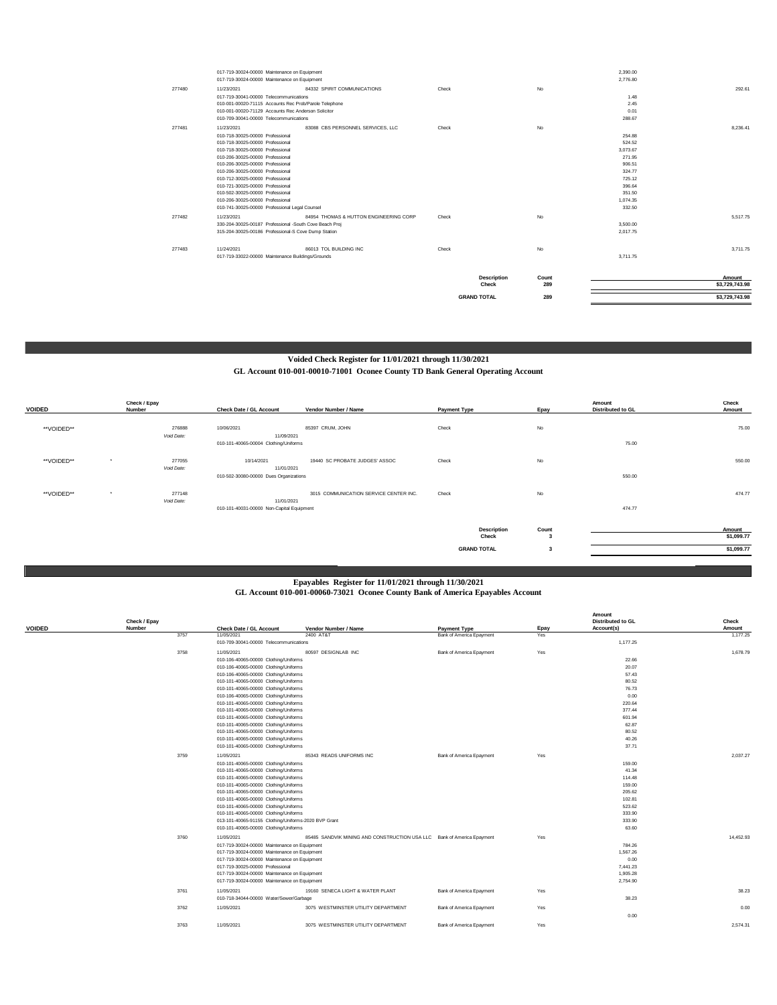|        | 017-719-30024-00000 Maintenance on Equipment            |                                        |                    |       | 2,390.00 |                |
|--------|---------------------------------------------------------|----------------------------------------|--------------------|-------|----------|----------------|
|        | 017-719-30024-00000 Maintenance on Equipment            |                                        |                    |       | 2,776.80 |                |
| 277480 | 11/23/2021                                              | 84332 SPIRIT COMMUNICATIONS            | Check              | No    |          | 292.61         |
|        | 017-719-30041-00000 Telecommunications                  |                                        |                    |       | 1.48     |                |
|        | 010-001-00020-71115 Accounts Rec Prob/Parole Telephone  |                                        |                    |       | 2.45     |                |
|        | 010-001-00020-71129 Accounts Rec Anderson Solicitor     |                                        |                    |       | 0.01     |                |
|        | 010-709-30041-00000 Telecommunications                  |                                        |                    |       | 288.67   |                |
| 277481 | 11/23/2021                                              | 83088 CBS PERSONNEL SERVICES, LLC      | Check              | No    |          | 8.236.41       |
|        | 010-718-30025-00000 Professional                        |                                        |                    |       | 254.88   |                |
|        | 010-718-30025-00000 Professional                        |                                        |                    |       | 524.52   |                |
|        | 010-718-30025-00000 Professional                        |                                        |                    |       | 3.073.67 |                |
|        | 010-206-30025-00000 Professional                        |                                        |                    |       | 271.95   |                |
|        | 010-206-30025-00000 Professional                        |                                        |                    |       | 906.51   |                |
|        | 010-206-30025-00000 Professional                        |                                        |                    |       | 324.77   |                |
|        | 010-712-30025-00000 Professional                        |                                        |                    |       | 725.12   |                |
|        | 010-721-30025-00000 Professional                        |                                        |                    |       | 396.64   |                |
|        | 010-502-30025-00000 Professional                        |                                        |                    |       | 351.50   |                |
|        | 010-206-30025-00000 Professional                        |                                        |                    |       | 1.074.35 |                |
|        | 010-741-30025-00000 Professional Legal Counsel          |                                        |                    |       | 332.50   |                |
| 277482 | 11/23/2021                                              | 84954 THOMAS & HUTTON ENGINEERING CORP | Check              | No    |          | 5.517.75       |
|        | 330-204-30025-00187 Professional -South Cove Beach Proj |                                        |                    |       | 3,500.00 |                |
|        | 315-204-30025-00186 Professional-S Cove Dump Station    |                                        |                    |       | 2.017.75 |                |
| 277483 | 11/24/2021                                              | 86013 TOL BUILDING INC                 | Check              | No    |          | 3.711.75       |
|        | 017-719-33022-00000 Maintenance Buildings/Grounds       |                                        |                    |       | 3.711.75 |                |
|        |                                                         |                                        |                    |       |          |                |
|        |                                                         |                                        | <b>Description</b> | Count |          | Amount         |
|        |                                                         |                                        | Check              | 289   |          | \$3,729,743.98 |
|        |                                                         |                                        | <b>GRAND TOTAL</b> | 289   |          | \$3,729,743.98 |
|        |                                                         |                                        |                    |       |          |                |

## **Voided Check Register for 11/01/2021 through 11/30/2021**

**GL Account 010-001-00010-71001 Oconee County TD Bank General Operating Account**

| <b>VOIDED</b> | Check / Epay<br>Number          | Check Date / GL Account                             | Vendor Number / Name                   | <b>Payment Type</b>         | Epay       | Amount<br><b>Distributed to GL</b> | Check<br>Amount      |
|---------------|---------------------------------|-----------------------------------------------------|----------------------------------------|-----------------------------|------------|------------------------------------|----------------------|
| **VOIDED**    | 276888                          | 10/06/2021                                          | 85397 CRUM, JOHN                       | Check                       | No         |                                    | 75.00                |
|               | Void Date:                      | 11/09/2021<br>010-101-40065-00004 Clothing/Uniforms |                                        |                             |            | 75.00                              |                      |
| **VOIDED**    | 277055<br>$\cdot$<br>Void Date: | 10/14/2021<br>11/01/2021                            | 19440 SC PROBATE JUDGES' ASSOC         | Check                       | No         |                                    | 550.00               |
|               |                                 | 010-502-30080-00000 Dues Organizations              |                                        |                             |            | 550.00                             |                      |
| **VOIDED**    | 277148<br>$\cdot$<br>Void Date: | 11/01/2021                                          | 3015 COMMUNICATION SERVICE CENTER INC. | Check                       | No         |                                    | 474.77               |
|               |                                 | 010-101-40031-00000 Non-Capital Equipment           |                                        |                             |            | 474.77                             |                      |
|               |                                 |                                                     |                                        | <b>Description</b><br>Check | Count<br>3 |                                    | Amount<br>\$1,099.77 |
|               |                                 |                                                     |                                        | <b>GRAND TOTAL</b>          | 3          |                                    | \$1,099.77           |

## **GL Account 010-001-00060-73021 Oconee County Bank of America Epayables Account Epayables Register for 11/01/2021 through 11/30/2021**

**Amount** 

|               | Check / Epay |                                         |                                                      |                                                                        |                          |          | <b>Distributed to GL</b> | Check     |
|---------------|--------------|-----------------------------------------|------------------------------------------------------|------------------------------------------------------------------------|--------------------------|----------|--------------------------|-----------|
| <b>VOIDED</b> | Number       |                                         | Check Date / GL Account                              | Vendor Number / Name                                                   | <b>Payment Type</b>      | Epay     | Account(s)               | Amount    |
|               |              | 3757                                    | 11/05/2021                                           | 2400 AT&T                                                              | Bank of America Epayment | Yes      |                          | 1,177.25  |
|               |              |                                         | 010-709-30041-00000 Telecommunications               |                                                                        |                          |          | 1,177.25                 |           |
|               |              | 3758                                    | 11/05/2021                                           | 80597 DESIGNLAB INC                                                    | Bank of America Epayment | Yes      |                          | 1.678.79  |
|               |              |                                         | 010-106-40065-00000 Clothing/Uniforms                |                                                                        |                          |          | 22.66                    |           |
|               |              |                                         | 010-106-40065-00000 Clothing/Uniforms                |                                                                        |                          |          | 20.07                    |           |
|               |              |                                         | 010-106-40065-00000 Clothing/Uniforms                |                                                                        |                          |          | 57.43                    |           |
|               |              |                                         | 010-101-40065-00000 Clothing/Uniforms                |                                                                        |                          |          | 80.52                    |           |
|               |              |                                         | 010-101-40065-00000 Clothing/Uniforms                |                                                                        |                          |          | 76.73                    |           |
|               |              |                                         | 010-106-40065-00000 Clothing/Uniforms                |                                                                        |                          |          | 0.00                     |           |
|               |              |                                         | 010-101-40065-00000 Clothing/Uniforms                |                                                                        |                          |          | 220.64                   |           |
|               |              |                                         | 010-101-40065-00000 Clothing/Uniforms                |                                                                        |                          |          | 377.44                   |           |
|               |              |                                         | 010-101-40065-00000 Clothing/Uniforms                |                                                                        |                          |          | 601.94                   |           |
|               |              |                                         | 010-101-40065-00000 Clothing/Uniforms                |                                                                        |                          |          | 62.87                    |           |
|               |              |                                         | 010-101-40065-00000 Clothing/Uniforms                |                                                                        |                          |          | 80.52                    |           |
|               |              |                                         | 010-101-40065-00000 Clothing/Uniforms                |                                                                        |                          |          | 40.26                    |           |
|               |              |                                         | 010-101-40065-00000 Clothing/Uniforms                |                                                                        |                          |          | 37.71                    |           |
|               |              |                                         |                                                      |                                                                        |                          |          |                          |           |
|               |              | 3759                                    | 11/05/2021                                           | 85343 READS UNIFORMS INC                                               | Bank of America Epayment | Yes      |                          | 2.037.27  |
|               |              |                                         | 010-101-40065-00000 Clothing/Uniforms                |                                                                        |                          |          | 159.00                   |           |
|               |              |                                         | 010-101-40065-00000 Clothing/Uniforms                |                                                                        |                          |          | 41.34                    |           |
|               |              |                                         | 010-101-40065-00000 Clothing/Uniforms                |                                                                        |                          |          | 114.48                   |           |
|               |              |                                         | 010-101-40065-00000 Clothing/Uniforms                |                                                                        |                          |          | 159.00                   |           |
|               |              |                                         | 010-101-40065-00000 Clothing/Uniforms                |                                                                        |                          |          | 205.62                   |           |
|               |              |                                         | 010-101-40065-00000 Clothing/Uniforms                |                                                                        |                          |          | 102.81                   |           |
|               |              |                                         | 010-101-40065-00000 Clothing/Uniforms                |                                                                        |                          |          | 523.62                   |           |
|               |              |                                         | 010-101-40065-00000 Clothing/Uniforms                |                                                                        |                          |          | 333.90                   |           |
|               |              |                                         | 013-101-40065-91155 Clothing/Uniforms-2020 BVP Grant |                                                                        |                          |          | 333.90                   |           |
|               |              |                                         | 010-101-40065-00000 Clothing/Uniforms                |                                                                        |                          |          | 63.60                    |           |
|               |              | 3760                                    | 11/05/2021                                           | 85485 SANDVIK MINING AND CONSTRUCTION USA LLC Bank of America Epayment |                          | Yes      |                          | 14.452.93 |
|               |              |                                         | 017-719-30024-00000 Maintenance on Equipment         |                                                                        |                          |          | 784.26                   |           |
|               |              |                                         | 017-719-30024-00000 Maintenance on Equipment         |                                                                        |                          |          | 1.567.26                 |           |
|               |              |                                         | 017-719-30024-00000 Maintenance on Equipment         |                                                                        |                          |          | 0.00                     |           |
|               |              |                                         | 017-719-30025-00000 Professional                     |                                                                        |                          |          | 7,441.23                 |           |
|               |              |                                         | 017-719-30024-00000 Maintenance on Equipment         |                                                                        |                          | 1.905.28 |                          |           |
|               |              |                                         | 017-719-30024-00000 Maintenance on Equipment         |                                                                        |                          |          | 2,754.90                 |           |
|               |              | 3761                                    | 11/05/2021                                           | 19160 SENECA LIGHT & WATER PLANT                                       | Bank of America Epayment | Yes      |                          | 38.23     |
|               |              |                                         |                                                      |                                                                        |                          |          | 38.23                    |           |
|               |              | 010-718-34044-00000 Water/Sewer/Garbage |                                                      |                                                                        |                          |          |                          |           |
|               |              | 3762                                    | 11/05/2021                                           | 3075 WESTMINSTER UTILITY DEPARTMENT                                    | Bank of America Epayment | Yes      |                          | 0.00      |
|               |              |                                         |                                                      |                                                                        |                          |          | 0.00                     |           |
|               |              | 3763                                    | 11/05/2021                                           | 3075 WESTMINSTER UTILITY DEPARTMENT                                    | Bank of America Epayment | Yes      |                          | 2.574.31  |
|               |              |                                         |                                                      |                                                                        |                          |          |                          |           |
|               |              |                                         |                                                      |                                                                        |                          |          |                          |           |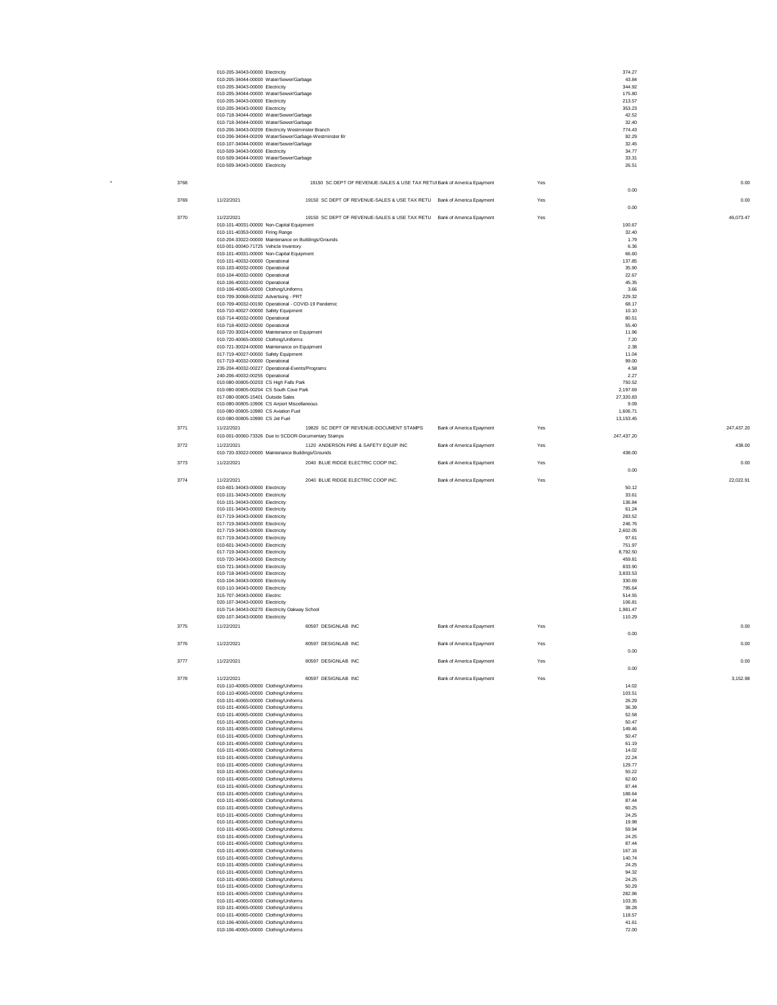|      | 010-205-34043-00000 Electricity<br>010-205-34044-00000 Water/Sewer/Garbage                        |                                                                         |                          |     | 374.27<br>43.84       |            |
|------|---------------------------------------------------------------------------------------------------|-------------------------------------------------------------------------|--------------------------|-----|-----------------------|------------|
|      | 010-205-34043-00000 Electricity                                                                   |                                                                         |                          |     | 344.92                |            |
|      | 010-205-34044-00000 Water/Sewer/Garbage<br>010-205-34043-00000 Electricity                        |                                                                         |                          |     | 175.80<br>213.57      |            |
|      | 010-205-34043-00000 Electricity                                                                   |                                                                         |                          |     | 353.23                |            |
|      | 010-718-34044-00000 Water/Sewer/Garbage<br>010-718-34044-00000 Water/Sewer/Garbage                |                                                                         |                          |     | 42.52<br>32.40        |            |
|      | 010-206-34043-00209 Electricity Westminster Branch                                                |                                                                         |                          |     | 774.43                |            |
|      | 010-206-34044-00209 Water/Sewer/Garbage-Westminster Br<br>010-107-34044-00000 Water/Sewer/Garbage |                                                                         |                          |     | 92.29<br>32.45        |            |
|      | 010-509-34043-00000 Electricity<br>010-509-34044-00000 Water/Sewer/Garbage                        |                                                                         |                          |     | 34.77<br>33.31        |            |
|      | 010-509-34043-00000 Electricity                                                                   |                                                                         |                          |     | 26.51                 |            |
|      |                                                                                                   |                                                                         |                          |     |                       |            |
| 3768 |                                                                                                   | 19150 SC DEPT OF REVENUE-SALES & USE TAX RETUI Bank of America Epayment |                          | Yes | 0.00                  | 0.00       |
| 3769 | 11/22/2021                                                                                        | 19150 SC DEPT OF REVENUE-SALES & USE TAX RETU Bank of America Epayment  |                          | Yes |                       | 0.00       |
| 3770 | 11/22/2021                                                                                        | 19150 SC DEPT OF REVENUE-SALES & USE TAX RETU Bank of America Epayment  |                          | Yes | 0.00                  | 46,073.47  |
|      | 010-101-40031-00000 Non-Capital Equipment                                                         |                                                                         |                          |     | 100.67                |            |
|      | 010-101-40353-00000 Firing Range<br>010-204-33022-00000 Maintenance on Buildings/Grounds          |                                                                         |                          |     | 32.40<br>1.79         |            |
|      | 010-001-00040-71725 Vehicle Inventory                                                             |                                                                         |                          |     | 6.36                  |            |
|      | 010-101-40031-00000 Non-Capital Equipment<br>010-101-40032-00000 Operational                      |                                                                         |                          |     | 66.60<br>137.85       |            |
|      | 010-103-40032-00000 Operational                                                                   |                                                                         |                          |     | 35.90                 |            |
|      | 010-104-40032-00000 Operational<br>010-106-40032-00000 Operational                                |                                                                         |                          |     | 22.67<br>45.35        |            |
|      | 010-106-40065-00000 Clothing/Uniforms                                                             |                                                                         |                          |     | 3.66                  |            |
|      | 010-709-30068-00202 Advertising - PRT<br>010-709-40032-00190 Operational - COVID-19 Pandemic      |                                                                         |                          |     | 229.32<br>68.17       |            |
|      | 010-710-40027-00000 Safety Equipment                                                              |                                                                         |                          |     | 10.10<br>80.51        |            |
|      | 010-714-40032-00000 Operational<br>010-718-40032-00000 Operational                                |                                                                         |                          |     | 55.40                 |            |
|      | 010-720-30024-00000 Maintenance on Equipment<br>010-720-40065-00000 Clothing/Uniforms             |                                                                         |                          |     | 11.96<br>7.20         |            |
|      | 010-721-30024-00000 Maintenance on Equipment                                                      |                                                                         |                          |     | 2.38                  |            |
|      | 017-719-40027-00000 Safety Equipment<br>017-719-40032-00000 Operational                           |                                                                         |                          |     | 11.04<br>99.00        |            |
|      | 235-204-40032-00227 Operational-Events/Programs                                                   |                                                                         |                          |     | 4.58                  |            |
|      | 240-206-40032-00255 Operational<br>010-080-00805-00203 CS High Falls Park                         |                                                                         |                          |     | 2.27<br>750.52        |            |
|      | 010-080-00805-00204 CS South Cove Park                                                            |                                                                         |                          |     | 2,197.69              |            |
|      | 017-080-00805-15401 Outside Sales<br>010-080-00805-10906 CS Airport Miscellaneous                 |                                                                         |                          |     | 27,320.83<br>9.09     |            |
|      | 010-080-00805-10980 CS Aviation Fuel                                                              |                                                                         |                          |     | 1.606.71<br>13,153.45 |            |
| 3771 | 010-080-00805-10990 CS Jet Fuel<br>11/22/2021                                                     | 19820 SC DEPT OF REVENUE-DOCUMENT STAMPS                                | Bank of America Epayment | Yes |                       | 247,437.20 |
|      | 010-001-00060-73326 Due to SCDOR-Documentary Stamps                                               |                                                                         |                          |     | 247,437.20            |            |
| 3772 | 11/22/2021<br>010-720-33022-00000 Maintenance Buildings/Grounds                                   | 1120 ANDERSON FIRE & SAFETY EQUIP INC                                   | Bank of America Epayment | Yes | 438.00                | 438.00     |
| 3773 | 11/22/2021                                                                                        | 2040 BLUE RIDGE ELECTRIC COOP INC.                                      | Bank of America Epayment | Yes |                       | 0.00       |
| 3774 | 11/22/2021                                                                                        | 2040 BLUE RIDGE ELECTRIC COOP INC.                                      | Bank of America Epayment | Yes | 0.00                  | 22.022.91  |
|      | 010-601-34043-00000 Electricity                                                                   |                                                                         |                          |     | 50.12                 |            |
|      | 010-101-34043-00000 Electricity<br>010-101-34043-00000 Electricity                                |                                                                         |                          |     | 33.61<br>136.84       |            |
|      | 010-101-34043-00000 Electricity                                                                   |                                                                         |                          |     | 61.24<br>283.52       |            |
|      | 017-719-34043-00000 Electricity<br>017-719-34043-00000 Electricity                                |                                                                         |                          |     | 246.76                |            |
|      | 017-719-34043-00000 Electricity<br>017-719-34043-00000 Electricity                                |                                                                         |                          |     | 2,602.05<br>97.61     |            |
|      | 010-601-34043-00000 Electricity                                                                   |                                                                         |                          |     | 751.97                |            |
|      | 017-719-34043-00000 Electricity<br>010-720-34043-00000 Electricity                                |                                                                         |                          |     | 8,792.50<br>459.81    |            |
|      | 010-721-34043-00000 Electricity<br>010-718-34043-00000 Electricity                                |                                                                         |                          |     | 833.90<br>3,833.53    |            |
|      | 010-104-34043-00000 Electricity                                                                   |                                                                         |                          |     | 330.69                |            |
|      | 010-110-34043-00000 Electricity<br>315-707-34043-00000 Electric                                   |                                                                         |                          |     | 795.64<br>514.55      |            |
|      | 020-107-34043-00000 Electricity                                                                   |                                                                         |                          |     | 106.81                |            |
|      | 010-714-34043-00270 Electricity Oakway School<br>020-107-34043-00000 Electricity                  |                                                                         |                          |     | 1,981.47<br>110.29    |            |
| 3775 | 11/22/2021                                                                                        | 80597 DESIGNLAB INC                                                     | Bank of America Epayment | Yes | 0.00                  | 0.00       |
| 3776 | 11/22/2021                                                                                        | 80597 DESIGNLAB INC                                                     | Bank of America Epayment | Yes |                       | 0.00       |
|      |                                                                                                   |                                                                         |                          |     | 0.00                  |            |
| 3777 | 11/22/2021                                                                                        | 80597 DESIGNLAB INC                                                     | Bank of America Epayment | Yes | 0.00                  | 0.00       |
| 3778 | 11/22/2021                                                                                        | 80597 DESIGNLAB INC                                                     | Bank of America Epayment | Yes |                       | 3,152.98   |
|      | 010-110-40065-00000 Clothing/Uniforms<br>010-110-40065-00000 Clothing/Uniforms                    |                                                                         |                          |     | 14.02<br>103.51       |            |
|      | 010-101-40065-00000 Clothing/Uniforms                                                             |                                                                         |                          |     | 26.29                 |            |
|      | 010-101-40065-00000 Clothing/Uniforms<br>010-101-40065-00000 Clothing/Uniforms                    |                                                                         |                          |     | 36.39<br>52.58        |            |
|      | 010-101-40065-00000 Clothing/Uniforms                                                             |                                                                         |                          |     | 50.47                 |            |
|      | 010-101-40065-00000 Clothing/Uniforms<br>010-101-40065-00000 Clothing/Uniforms                    |                                                                         |                          |     | 149.46<br>50.47       |            |
|      | 010-101-40065-00000 Clothing/Uniforms<br>010-101-40065-00000 Clothing/Uniforms                    |                                                                         |                          |     | 61.19<br>14.02        |            |
|      | 010-101-40065-00000 Clothing/Uniforms                                                             |                                                                         |                          |     | 22.24                 |            |
|      | 010-101-40065-00000 Clothing/Uniforms<br>010-101-40065-00000 Clothing/Uniforms                    |                                                                         |                          |     | 129.77<br>50.22       |            |
|      | 010-101-40065-00000 Clothing/Uniforms<br>010-101-40065-00000 Clothing/Uniforms                    |                                                                         |                          |     | 62.60<br>87.44        |            |
|      | 010-101-40065-00000 Clothing/Uniforms                                                             |                                                                         |                          |     | 188.64                |            |
|      | 010-101-40065-00000 Clothing/Uniforms<br>010-101-40065-00000 Clothing/Uniforms                    |                                                                         |                          |     | 87.44<br>60.25        |            |
|      | 010-101-40065-00000 Clothing/Uniforms                                                             |                                                                         |                          |     | 24.25                 |            |
|      | 010-101-40065-00000 Clothing/Uniforms<br>010-101-40065-00000 Clothing/Uniforms                    |                                                                         |                          |     | 19.98<br>59.94        |            |
|      | 010-101-40065-00000 Clothing/Uniforms<br>010-101-40065-00000 Clothing/Uniforms                    |                                                                         |                          |     | 24.25<br>87.44        |            |
|      | 010-101-40065-00000 Clothing/Uniforms                                                             |                                                                         |                          |     | 167.16                |            |
|      | 010-101-40065-00000 Clothing/Uniforms<br>010-101-40065-00000 Clothing/Uniforms                    |                                                                         |                          |     | 140.74<br>24.25       |            |
|      | 010-101-40065-00000 Clothing/Uniforms<br>010-101-40065-00000 Clothing/Uniforms                    |                                                                         |                          |     | 94.32<br>24.25        |            |
|      | 010-101-40065-00000 Clothing/Uniforms                                                             |                                                                         |                          |     | 50.29                 |            |
|      | 010-101-40065-00000 Clothing/Uniforms<br>010-101-40065-00000 Clothing/Uniforms                    |                                                                         |                          |     | 282.96<br>103.35      |            |
|      | 010-101-40065-00000 Clothing/Uniforms                                                             |                                                                         |                          |     | 38.28                 |            |
|      | 010-101-40065-00000 Clothing/Uniforms<br>010-106-40065-00000 Clothing/Uniforms                    |                                                                         |                          |     | 118.57<br>41.61       |            |
|      | 010-106-40065-00000 Clothing/Uniforms                                                             |                                                                         |                          |     | 72.00                 |            |

 $\sim$  3768888888